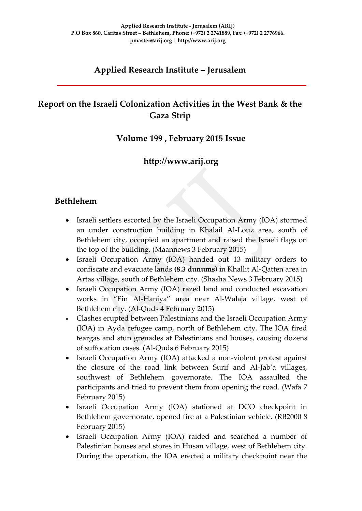## **Applied Research Institute – Jerusalem**

## **Report on the Israeli Colonization Activities in the West Bank & the Gaza Strip**

### **Volume 199 , February 2015 Issue**

### **http://www.arij.org**

### **Bethlehem**

- Israeli settlers escorted by the Israeli Occupation Army (IOA) stormed an under construction building in Khalail Al-Louz area, south of Bethlehem city, occupied an apartment and raised the Israeli flags on the top of the building. (Maannews 3 February 2015)
- Israeli Occupation Army (IOA) handed out 13 military orders to confiscate and evacuate lands **(8.3 dunums)** in Khallit Al-Qatten area in Artas village, south of Bethlehem city. (Shasha News 3 February 2015)
- Israeli Occupation Army (IOA) razed land and conducted excavation works in "Ein Al-Haniya" area near Al-Walaja village, west of Bethlehem city. (Al-Quds 4 February 2015)
- Clashes erupted between Palestinians and the Israeli Occupation Army (IOA) in Ayda refugee camp, north of Bethlehem city. The IOA fired teargas and stun grenades at Palestinians and houses, causing dozens of suffocation cases. (Al-Quds 6 February 2015)
- Israeli Occupation Army (IOA) attacked a non-violent protest against the closure of the road link between Surif and Al-Jab'a villages, southwest of Bethlehem governorate. The IOA assaulted the participants and tried to prevent them from opening the road. (Wafa 7 February 2015)
- Israeli Occupation Army (IOA) stationed at DCO checkpoint in Bethlehem governorate, opened fire at a Palestinian vehicle. (RB2000 8 February 2015)
- Israeli Occupation Army (IOA) raided and searched a number of Palestinian houses and stores in Husan village, west of Bethlehem city. During the operation, the IOA erected a military checkpoint near the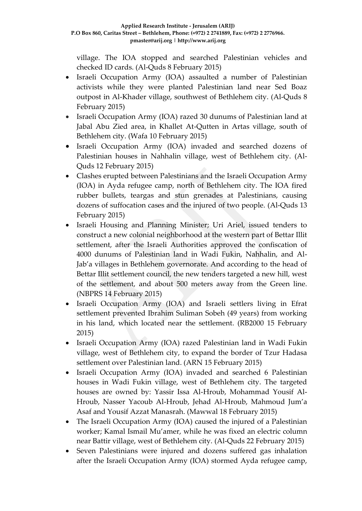village. The IOA stopped and searched Palestinian vehicles and checked ID cards. (Al-Quds 8 February 2015)

- Israeli Occupation Army (IOA) assaulted a number of Palestinian activists while they were planted Palestinian land near Sed Boaz outpost in Al-Khader village, southwest of Bethlehem city. (Al-Quds 8 February 2015)
- Israeli Occupation Army (IOA) razed 30 dunums of Palestinian land at Jabal Abu Zied area, in Khallet At-Qutten in Artas village, south of Bethlehem city. (Wafa 10 February 2015)
- Israeli Occupation Army (IOA) invaded and searched dozens of Palestinian houses in Nahhalin village, west of Bethlehem city. (Al-Quds 12 February 2015)
- Clashes erupted between Palestinians and the Israeli Occupation Army (IOA) in Ayda refugee camp, north of Bethlehem city. The IOA fired rubber bullets, teargas and stun grenades at Palestinians, causing dozens of suffocation cases and the injured of two people. (Al-Quds 13 February 2015)
- Israeli Housing and Planning Minister; Uri Ariel, issued tenders to construct a new colonial neighborhood at the western part of Bettar Illit settlement, after the Israeli Authorities approved the confiscation of 4000 dunums of Palestinian land in Wadi Fukin, Nahhalin, and Al-Jab'a villages in Bethlehem governorate. And according to the head of Bettar Illit settlement council, the new tenders targeted a new hill, west of the settlement, and about 500 meters away from the Green line. (NBPRS 14 February 2015)
- Israeli Occupation Army (IOA) and Israeli settlers living in Efrat settlement prevented Ibrahim Suliman Sobeh (49 years) from working in his land, which located near the settlement. (RB2000 15 February 2015)
- Israeli Occupation Army (IOA) razed Palestinian land in Wadi Fukin village, west of Bethlehem city, to expand the border of Tzur Hadasa settlement over Palestinian land. (ARN 15 February 2015)
- Israeli Occupation Army (IOA) invaded and searched 6 Palestinian houses in Wadi Fukin village, west of Bethlehem city. The targeted houses are owned by: Yassir Issa Al-Hroub, Mohammad Yousif Al-Hroub, Nasser Yacoub Al-Hroub, Jehad Al-Hroub, Mahmoud Jum'a Asaf and Yousif Azzat Manasrah. (Mawwal 18 February 2015)
- The Israeli Occupation Army (IOA) caused the injured of a Palestinian worker; Kamal Ismail Mu'amer, while he was fixed an electric column near Battir village, west of Bethlehem city. (Al-Quds 22 February 2015)
- Seven Palestinians were injured and dozens suffered gas inhalation after the Israeli Occupation Army (IOA) stormed Ayda refugee camp,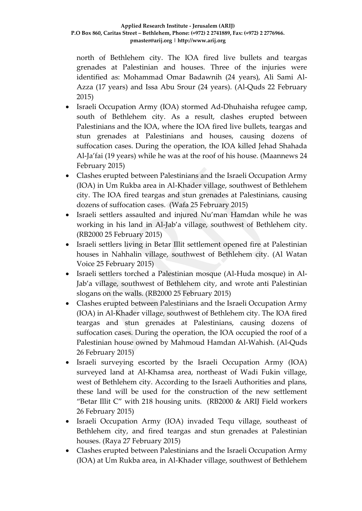north of Bethlehem city. The IOA fired live bullets and teargas grenades at Palestinian and houses. Three of the injuries were identified as: Mohammad Omar Badawnih (24 years), Ali Sami Al-Azza (17 years) and Issa Abu Srour (24 years). (Al-Quds 22 February 2015)

- Israeli Occupation Army (IOA) stormed Ad-Dhuhaisha refugee camp, south of Bethlehem city. As a result, clashes erupted between Palestinians and the IOA, where the IOA fired live bullets, teargas and stun grenades at Palestinians and houses, causing dozens of suffocation cases. During the operation, the IOA killed Jehad Shahada Al-Ja'fai (19 years) while he was at the roof of his house. (Maannews 24 February 2015)
- Clashes erupted between Palestinians and the Israeli Occupation Army (IOA) in Um Rukba area in Al-Khader village, southwest of Bethlehem city. The IOA fired teargas and stun grenades at Palestinians, causing dozens of suffocation cases. (Wafa 25 February 2015)
- Israeli settlers assaulted and injured Nu'man Hamdan while he was working in his land in Al-Jab'a village, southwest of Bethlehem city. (RB2000 25 February 2015)
- Israeli settlers living in Betar Illit settlement opened fire at Palestinian houses in Nahhalin village, southwest of Bethlehem city. (Al Watan Voice 25 February 2015)
- Israeli settlers torched a Palestinian mosque (Al-Huda mosque) in Al-Jab'a village, southwest of Bethlehem city, and wrote anti Palestinian slogans on the walls. (RB2000 25 February 2015)
- Clashes erupted between Palestinians and the Israeli Occupation Army (IOA) in Al-Khader village, southwest of Bethlehem city. The IOA fired teargas and stun grenades at Palestinians, causing dozens of suffocation cases. During the operation, the IOA occupied the roof of a Palestinian house owned by Mahmoud Hamdan Al-Wahish. (Al-Quds 26 February 2015)
- Israeli surveying escorted by the Israeli Occupation Army (IOA) surveyed land at Al-Khamsa area, northeast of Wadi Fukin village, west of Bethlehem city. According to the Israeli Authorities and plans, these land will be used for the construction of the new settlement "Betar Illit C" with 218 housing units. (RB2000 & ARIJ Field workers 26 February 2015)
- Israeli Occupation Army (IOA) invaded Tequ village, southeast of Bethlehem city, and fired teargas and stun grenades at Palestinian houses. (Raya 27 February 2015)
- Clashes erupted between Palestinians and the Israeli Occupation Army (IOA) at Um Rukba area, in Al-Khader village, southwest of Bethlehem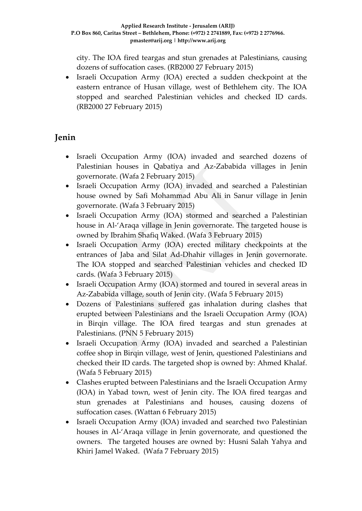city. The IOA fired teargas and stun grenades at Palestinians, causing dozens of suffocation cases. (RB2000 27 February 2015)

 Israeli Occupation Army (IOA) erected a sudden checkpoint at the eastern entrance of Husan village, west of Bethlehem city. The IOA stopped and searched Palestinian vehicles and checked ID cards. (RB2000 27 February 2015)

## **Jenin**

- Israeli Occupation Army (IOA) invaded and searched dozens of Palestinian houses in Qabatiya and Az-Zababida villages in Jenin governorate. (Wafa 2 February 2015)
- Israeli Occupation Army (IOA) invaded and searched a Palestinian house owned by Safi Mohammad Abu Ali in Sanur village in Jenin governorate. (Wafa 3 February 2015)
- Israeli Occupation Army (IOA) stormed and searched a Palestinian house in Al-'Araqa village in Jenin governorate. The targeted house is owned by Ibrahim Shafiq Waked. (Wafa 3 February 2015)
- Israeli Occupation Army (IOA) erected military checkpoints at the entrances of Jaba and Silat Ad-Dhahir villages in Jenin governorate. The IOA stopped and searched Palestinian vehicles and checked ID cards. (Wafa 3 February 2015)
- Israeli Occupation Army (IOA) stormed and toured in several areas in Az-Zababida village, south of Jenin city. (Wafa 5 February 2015)
- Dozens of Palestinians suffered gas inhalation during clashes that erupted between Palestinians and the Israeli Occupation Army (IOA) in Birqin village. The IOA fired teargas and stun grenades at Palestinians. (PNN 5 February 2015)
- Israeli Occupation Army (IOA) invaded and searched a Palestinian coffee shop in Birqin village, west of Jenin, questioned Palestinians and checked their ID cards. The targeted shop is owned by: Ahmed Khalaf. (Wafa 5 February 2015)
- Clashes erupted between Palestinians and the Israeli Occupation Army (IOA) in Yabad town, west of Jenin city. The IOA fired teargas and stun grenades at Palestinians and houses, causing dozens of suffocation cases. (Wattan 6 February 2015)
- Israeli Occupation Army (IOA) invaded and searched two Palestinian houses in Al-'Araqa village in Jenin governorate, and questioned the owners. The targeted houses are owned by: Husni Salah Yahya and Khiri Jamel Waked. (Wafa 7 February 2015)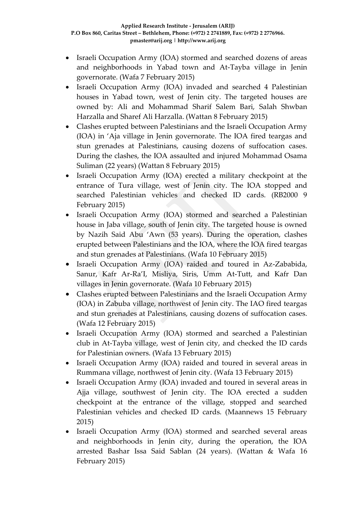- Israeli Occupation Army (IOA) stormed and searched dozens of areas and neighborhoods in Yabad town and At-Tayba village in Jenin governorate. (Wafa 7 February 2015)
- Israeli Occupation Army (IOA) invaded and searched 4 Palestinian houses in Yabad town, west of Jenin city. The targeted houses are owned by: Ali and Mohammad Sharif Salem Bari, Salah Shwban Harzalla and Sharef Ali Harzalla. (Wattan 8 February 2015)
- Clashes erupted between Palestinians and the Israeli Occupation Army (IOA) in 'Aja village in Jenin governorate. The IOA fired teargas and stun grenades at Palestinians, causing dozens of suffocation cases. During the clashes, the IOA assaulted and injured Mohammad Osama Suliman (22 years) (Wattan 8 February 2015)
- Israeli Occupation Army (IOA) erected a military checkpoint at the entrance of Tura village, west of Jenin city. The IOA stopped and searched Palestinian vehicles and checked ID cards. (RB2000 9 February 2015)
- Israeli Occupation Army (IOA) stormed and searched a Palestinian house in Jaba village, south of Jenin city. The targeted house is owned by Nazih Said Abu 'Awn (53 years). During the operation, clashes erupted between Palestinians and the IOA, where the IOA fired teargas and stun grenades at Palestinians. (Wafa 10 February 2015)
- Israeli Occupation Army (IOA) raided and toured in Az-Zababida, Sanur, Kafr Ar-Ra'I, Misliya, Siris, Umm At-Tutt, and Kafr Dan villages in Jenin governorate. (Wafa 10 February 2015)
- Clashes erupted between Palestinians and the Israeli Occupation Army (IOA) in Zabuba village, northwest of Jenin city. The IAO fired teargas and stun grenades at Palestinians, causing dozens of suffocation cases. (Wafa 12 February 2015)
- Israeli Occupation Army (IOA) stormed and searched a Palestinian club in At-Tayba village, west of Jenin city, and checked the ID cards for Palestinian owners. (Wafa 13 February 2015)
- Israeli Occupation Army (IOA) raided and toured in several areas in Rummana village, northwest of Jenin city. (Wafa 13 February 2015)
- Israeli Occupation Army (IOA) invaded and toured in several areas in Ajja village, southwest of Jenin city. The IOA erected a sudden checkpoint at the entrance of the village, stopped and searched Palestinian vehicles and checked ID cards. (Maannews 15 February 2015)
- Israeli Occupation Army (IOA) stormed and searched several areas and neighborhoods in Jenin city, during the operation, the IOA arrested Bashar Issa Said Sablan (24 years). (Wattan & Wafa 16 February 2015)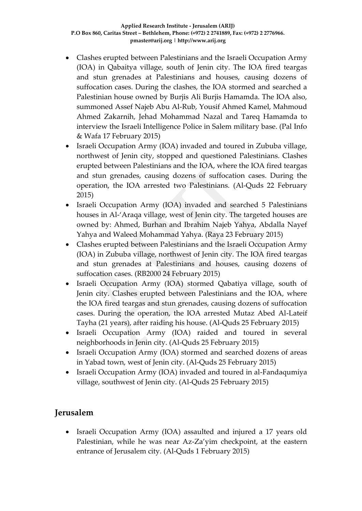- Clashes erupted between Palestinians and the Israeli Occupation Army (IOA) in Qabaitya village, south of Jenin city. The IOA fired teargas and stun grenades at Palestinians and houses, causing dozens of suffocation cases. During the clashes, the IOA stormed and searched a Palestinian house owned by Burjis Ali Burjis Hamamda. The IOA also, summoned Assef Najeb Abu Al-Rub, Yousif Ahmed Kamel, Mahmoud Ahmed Zakarnih, Jehad Mohammad Nazal and Tareq Hamamda to interview the Israeli Intelligence Police in Salem military base. (Pal Info & Wafa 17 February 2015)
- Israeli Occupation Army (IOA) invaded and toured in Zububa village, northwest of Jenin city, stopped and questioned Palestinians. Clashes erupted between Palestinians and the IOA, where the IOA fired teargas and stun grenades, causing dozens of suffocation cases. During the operation, the IOA arrested two Palestinians. (Al-Quds 22 February 2015)
- Israeli Occupation Army (IOA) invaded and searched 5 Palestinians houses in Al-'Araqa village, west of Jenin city. The targeted houses are owned by: Ahmed, Burhan and Ibrahim Najeb Yahya, Abdalla Nayef Yahya and Waleed Mohammad Yahya. (Raya 23 February 2015)
- Clashes erupted between Palestinians and the Israeli Occupation Army (IOA) in Zububa village, northwest of Jenin city. The IOA fired teargas and stun grenades at Palestinians and houses, causing dozens of suffocation cases. (RB2000 24 February 2015)
- Israeli Occupation Army (IOA) stormed Qabatiya village, south of Jenin city. Clashes erupted between Palestinians and the IOA, where the IOA fired teargas and stun grenades, causing dozens of suffocation cases. During the operation, the IOA arrested Mutaz Abed Al-Lateif Tayha (21 years), after raiding his house. (Al-Quds 25 February 2015)
- Israeli Occupation Army (IOA) raided and toured in several neighborhoods in Jenin city. (Al-Quds 25 February 2015)
- Israeli Occupation Army (IOA) stormed and searched dozens of areas in Yabad town, west of Jenin city. (Al-Quds 25 February 2015)
- Israeli Occupation Army (IOA) invaded and toured in al-Fandaqumiya village, southwest of Jenin city. (Al-Quds 25 February 2015)

## **Jerusalem**

 Israeli Occupation Army (IOA) assaulted and injured a 17 years old Palestinian, while he was near Az-Za'yim checkpoint, at the eastern entrance of Jerusalem city. (Al-Quds 1 February 2015)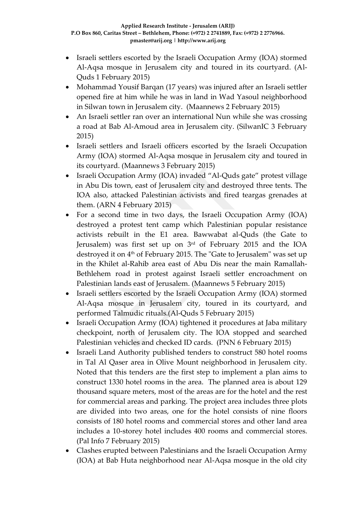- Israeli settlers escorted by the Israeli Occupation Army (IOA) stormed Al-Aqsa mosque in Jerusalem city and toured in its courtyard. (Al-Quds 1 February 2015)
- Mohammad Yousif Barqan (17 years) was injured after an Israeli settler opened fire at him while he was in land in Wad Yasoul neighborhood in Silwan town in Jerusalem city. (Maannews 2 February 2015)
- An Israeli settler ran over an international Nun while she was crossing a road at Bab Al-Amoud area in Jerusalem city. (SilwanIC 3 February 2015)
- Israeli settlers and Israeli officers escorted by the Israeli Occupation Army (IOA) stormed Al-Aqsa mosque in Jerusalem city and toured in its courtyard. (Maannews 3 February 2015)
- Israeli Occupation Army (IOA) invaded "Al-Quds gate" protest village in Abu Dis town, east of Jerusalem city and destroyed three tents. The IOA also, attacked Palestinian activists and fired teargas grenades at them. (ARN 4 February 2015)
- For a second time in two days, the Israeli Occupation Army (IOA) destroyed a protest tent camp which Palestinian popular resistance activists rebuilt in the E1 area. Bawwabat al-Quds (the Gate to Jerusalem) was first set up on 3<sup>rd</sup> of February 2015 and the IOA destroyed it on 4<sup>th</sup> of February 2015. The "Gate to Jerusalem" was set up in the Khilet al-Rahib area east of Abu Dis near the main Ramallah-Bethlehem road in protest against Israeli settler encroachment on Palestinian lands east of Jerusalem. (Maannews 5 February 2015)
- Israeli settlers escorted by the Israeli Occupation Army (IOA) stormed Al-Aqsa mosque in Jerusalem city, toured in its courtyard, and performed Talmudic rituals.(Al-Quds 5 February 2015)
- Israeli Occupation Army (IOA) tightened it procedures at Jaba military checkpoint, north of Jerusalem city. The IOA stopped and searched Palestinian vehicles and checked ID cards. (PNN 6 February 2015)
- Israeli Land Authority published tenders to construct 580 hotel rooms in Tal Al Qaser area in Olive Mount neighborhood in Jerusalem city. Noted that this tenders are the first step to implement a plan aims to construct 1330 hotel rooms in the area. The planned area is about 129 thousand square meters, most of the areas are for the hotel and the rest for commercial areas and parking. The project area includes three plots are divided into two areas, one for the hotel consists of nine floors consists of 180 hotel rooms and commercial stores and other land area includes a 10-storey hotel includes 400 rooms and commercial stores. (Pal Info 7 February 2015)
- Clashes erupted between Palestinians and the Israeli Occupation Army (IOA) at Bab Huta neighborhood near Al-Aqsa mosque in the old city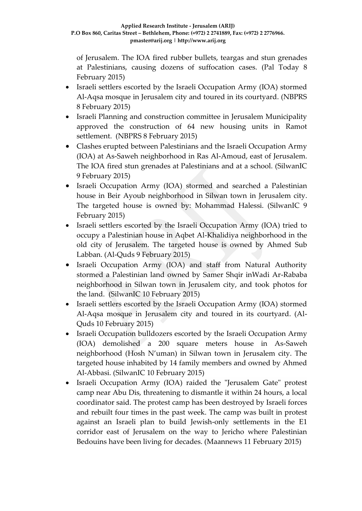of Jerusalem. The IOA fired rubber bullets, teargas and stun grenades at Palestinians, causing dozens of suffocation cases. (Pal Today 8 February 2015)

- Israeli settlers escorted by the Israeli Occupation Army (IOA) stormed Al-Aqsa mosque in Jerusalem city and toured in its courtyard. (NBPRS 8 February 2015)
- Israeli Planning and construction committee in Jerusalem Municipality approved the construction of 64 new housing units in Ramot settlement. (NBPRS 8 February 2015)
- Clashes erupted between Palestinians and the Israeli Occupation Army (IOA) at As-Saweh neighborhood in Ras Al-Amoud, east of Jerusalem. The IOA fired stun grenades at Palestinians and at a school. (SilwanIC 9 February 2015)
- Israeli Occupation Army (IOA) stormed and searched a Palestinian house in Beir Ayoub neighborhood in Silwan town in Jerusalem city. The targeted house is owned by: Mohammad Halessi. (SilwanIC 9 February 2015)
- Israeli settlers escorted by the Israeli Occupation Army (IOA) tried to occupy a Palestinian house in Aqbet Al-Khalidiya neighborhood in the old city of Jerusalem. The targeted house is owned by Ahmed Sub Labban. (Al-Quds 9 February 2015)
- Israeli Occupation Army (IOA) and staff from Natural Authority stormed a Palestinian land owned by Samer Shqir inWadi Ar-Rababa neighborhood in Silwan town in Jerusalem city, and took photos for the land. (SilwanIC 10 February 2015)
- Israeli settlers escorted by the Israeli Occupation Army (IOA) stormed Al-Aqsa mosque in Jerusalem city and toured in its courtyard. (Al-Quds 10 February 2015)
- Israeli Occupation bulldozers escorted by the Israeli Occupation Army (IOA) demolished a 200 square meters house in As-Saweh neighborhood (Hosh N'uman) in Silwan town in Jerusalem city. The targeted house inhabited by 14 family members and owned by Ahmed Al-Abbasi. (SilwanIC 10 February 2015)
- Israeli Occupation Army (IOA) raided the "Jerusalem Gate" protest camp near Abu Dis, threatening to dismantle it within 24 hours, a local coordinator said. The protest camp has been destroyed by Israeli forces and rebuilt four times in the past week. The camp was built in protest against an Israeli plan to build Jewish-only settlements in the E1 corridor east of Jerusalem on the way to Jericho where Palestinian Bedouins have been living for decades. (Maannews 11 February 2015)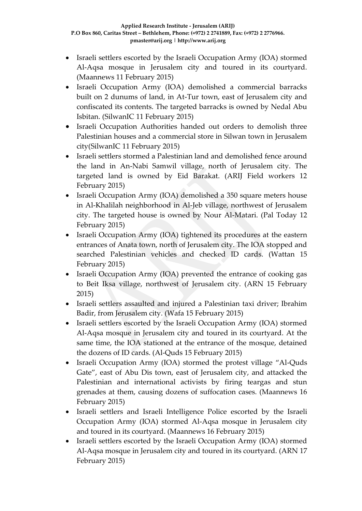- Israeli settlers escorted by the Israeli Occupation Army (IOA) stormed Al-Aqsa mosque in Jerusalem city and toured in its courtyard. (Maannews 11 February 2015)
- Israeli Occupation Army (IOA) demolished a commercial barracks built on 2 dunums of land, in At-Tur town, east of Jerusalem city and confiscated its contents. The targeted barracks is owned by Nedal Abu Isbitan. (SilwanIC 11 February 2015)
- Israeli Occupation Authorities handed out orders to demolish three Palestinian houses and a commercial store in Silwan town in Jerusalem city(SilwanIC 11 February 2015)
- Israeli settlers stormed a Palestinian land and demolished fence around the land in An-Nabi Samwil village, north of Jerusalem city. The targeted land is owned by Eid Barakat. (ARIJ Field workers 12 February 2015)
- Israeli Occupation Army (IOA) demolished a 350 square meters house in Al-Khalilah neighborhood in Al-Jeb village, northwest of Jerusalem city. The targeted house is owned by Nour Al-Matari. (Pal Today 12 February 2015)
- Israeli Occupation Army (IOA) tightened its procedures at the eastern entrances of Anata town, north of Jerusalem city. The IOA stopped and searched Palestinian vehicles and checked ID cards. (Wattan 15 February 2015)
- Israeli Occupation Army (IOA) prevented the entrance of cooking gas to Beit Iksa village, northwest of Jerusalem city. (ARN 15 February 2015)
- Israeli settlers assaulted and injured a Palestinian taxi driver; Ibrahim Badir, from Jerusalem city. (Wafa 15 February 2015)
- Israeli settlers escorted by the Israeli Occupation Army (IOA) stormed Al-Aqsa mosque in Jerusalem city and toured in its courtyard. At the same time, the IOA stationed at the entrance of the mosque, detained the dozens of ID cards. (Al-Quds 15 February 2015)
- Israeli Occupation Army (IOA) stormed the protest village "Al-Quds Gate", east of Abu Dis town, east of Jerusalem city, and attacked the Palestinian and international activists by firing teargas and stun grenades at them, causing dozens of suffocation cases. (Maannews 16 February 2015)
- Israeli settlers and Israeli Intelligence Police escorted by the Israeli Occupation Army (IOA) stormed Al-Aqsa mosque in Jerusalem city and toured in its courtyard. (Maannews 16 February 2015)
- Israeli settlers escorted by the Israeli Occupation Army (IOA) stormed Al-Aqsa mosque in Jerusalem city and toured in its courtyard. (ARN 17 February 2015)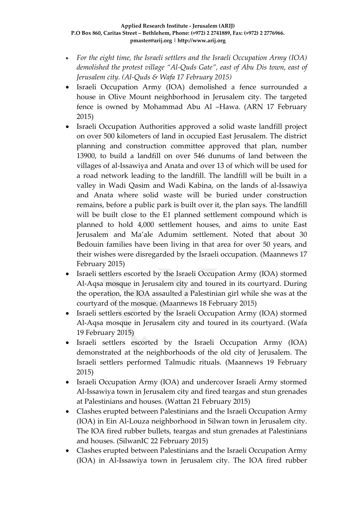- *For the eight time, the Israeli settlers and the Israeli Occupation Army (IOA) demolished the protest village "Al-Quds Gate", east of Abu Dis town, east of Jerusalem city. (Al-Quds & Wafa 17 February 2015)*
- Israeli Occupation Army (IOA) demolished a fence surrounded a house in Olive Mount neighborhood in Jerusalem city. The targeted fence is owned by Mohammad Abu Al –Hawa. (ARN 17 February 2015)
- Israeli Occupation Authorities approved a solid waste landfill project on over 500 kilometers of land in occupied East Jerusalem. The district planning and construction committee approved that plan, number 13900, to build a landfill on over 546 dunums of land between the villages of al-Issawiya and Anata and over 13 of which will be used for a road network leading to the landfill. The landfill will be built in a valley in Wadi Qasim and Wadi Kabina, on the lands of al-Issawiya and Anata where solid waste will be buried under construction remains, before a public park is built over it, the plan says. The landfill will be built close to the E1 planned settlement compound which is planned to hold 4,000 settlement houses, and aims to unite East Jerusalem and Ma'ale Adumim settlement. Noted that about 30 Bedouin families have been living in that area for over 50 years, and their wishes were disregarded by the Israeli occupation. (Maannews 17 February 2015)
- Israeli settlers escorted by the Israeli Occupation Army (IOA) stormed Al-Aqsa mosque in Jerusalem city and toured in its courtyard. During the operation, the IOA assaulted a Palestinian girl while she was at the courtyard of the mosque. (Maannews 18 February 2015)
- Israeli settlers escorted by the Israeli Occupation Army (IOA) stormed Al-Aqsa mosque in Jerusalem city and toured in its courtyard. (Wafa 19 February 2015)
- Israeli settlers escorted by the Israeli Occupation Army (IOA) demonstrated at the neighborhoods of the old city of Jerusalem. The Israeli settlers performed Talmudic rituals. (Maannews 19 February 2015)
- Israeli Occupation Army (IOA) and undercover Israeli Army stormed Al-Issawiya town in Jerusalem city and fired teargas and stun grenades at Palestinians and houses. (Wattan 21 February 2015)
- Clashes erupted between Palestinians and the Israeli Occupation Army (IOA) in Ein Al-Louza neighborhood in Silwan town in Jerusalem city. The IOA fired rubber bullets, teargas and stun grenades at Palestinians and houses. (SilwanIC 22 February 2015)
- Clashes erupted between Palestinians and the Israeli Occupation Army (IOA) in Al-Issawiya town in Jerusalem city. The IOA fired rubber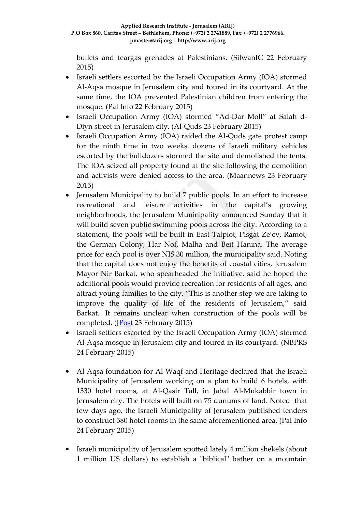bullets and teargas grenades at Palestinians. (SilwanIC 22 February 2015)

- Israeli settlers escorted by the Israeli Occupation Army (IOA) stormed Al-Aqsa mosque in Jerusalem city and toured in its courtyard. At the same time, the IOA prevented Palestinian children from entering the mosque. (Pal Info 22 February 2015)
- Israeli Occupation Army (IOA) stormed "Ad-Dar Moll" at Salah d-Diyn street in Jerusalem city. (Al-Quds 23 February 2015)
- Israeli Occupation Army (IOA) raided the Al-Quds gate protest camp for the ninth time in two weeks. dozens of Israeli military vehicles escorted by the bulldozers stormed the site and demolished the tents. The IOA seized all property found at the site following the demolition and activists were denied access to the area. (Maannews 23 February 2015)
- Jerusalem Municipality to build 7 public pools. In an effort to increase recreational and leisure activities in the capital's growing neighborhoods, the Jerusalem Municipality announced Sunday that it will build seven public swimming pools across the city. According to a statement, the pools will be built in East Talpiot, Pisgat Ze'ev, Ramot, the German Colony, Har Nof, Malha and Beit Hanina. The average price for each pool is over NIS 30 million, the municipality said. Noting that the capital does not enjoy the benefits of coastal cities, Jerusalem Mayor Nir Barkat, who spearheaded the initiative, said he hoped the additional pools would provide recreation for residents of all ages, and attract young families to the city. "This is another step we are taking to improve the quality of life of the residents of Jerusalem," said Barkat. It remains unclear when construction of the pools will be completed. [\(JPost](http://www.jpost.com/Breaking-News/Jerusalem-Municipality-to-build-7-public-pools-391812) 23 February 2015)
- Israeli settlers escorted by the Israeli Occupation Army (IOA) stormed Al-Aqsa mosque in Jerusalem city and toured in its courtyard. (NBPRS 24 February 2015)
- Al-Aqsa foundation for Al-Waqf and Heritage declared that the Israeli Municipality of Jerusalem working on a plan to build 6 hotels, with 1330 hotel rooms, at Al-Qasir Tall, in Jabal Al-Mukabbir town in Jerusalem city. The hotels will built on 75 dunums of land. Noted that few days ago, the Israeli Municipality of Jerusalem published tenders to construct 580 hotel rooms in the same aforementioned area. (Pal Info 24 February 2015)
- Israeli municipality of Jerusalem spotted lately 4 million shekels (about 1 million US dollars) to establish a "biblical" bather on a mountain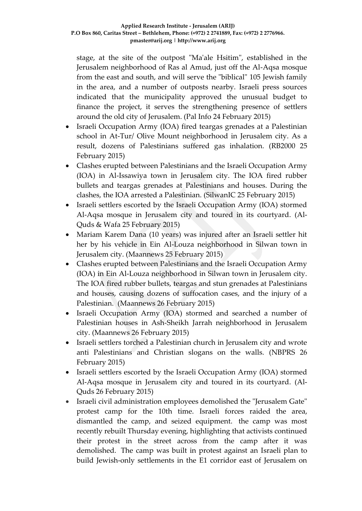stage, at the site of the outpost "Ma'ale Hsitim", established in the Jerusalem neighborhood of Ras al Amud, just off the Al-Aqsa mosque from the east and south, and will serve the "biblical" 105 Jewish family in the area, and a number of outposts nearby. Israeli press sources indicated that the municipality approved the unusual budget to finance the project, it serves the strengthening presence of settlers around the old city of Jerusalem. (Pal Info 24 February 2015)

- Israeli Occupation Army (IOA) fired teargas grenades at a Palestinian school in At-Tur/ Olive Mount neighborhood in Jerusalem city. As a result, dozens of Palestinians suffered gas inhalation. (RB2000 25 February 2015)
- Clashes erupted between Palestinians and the Israeli Occupation Army (IOA) in Al-Issawiya town in Jerusalem city. The IOA fired rubber bullets and teargas grenades at Palestinians and houses. During the clashes, the IOA arrested a Palestinian. (SilwanIC 25 February 2015)
- Israeli settlers escorted by the Israeli Occupation Army (IOA) stormed Al-Aqsa mosque in Jerusalem city and toured in its courtyard. (Al-Quds & Wafa 25 February 2015)
- Mariam Karem Dana (10 years) was injured after an Israeli settler hit her by his vehicle in Ein Al-Louza neighborhood in Silwan town in Jerusalem city. (Maannews 25 February 2015)
- Clashes erupted between Palestinians and the Israeli Occupation Army (IOA) in Ein Al-Louza neighborhood in Silwan town in Jerusalem city. The IOA fired rubber bullets, teargas and stun grenades at Palestinians and houses, causing dozens of suffocation cases, and the injury of a Palestinian. (Maannews 26 February 2015)
- Israeli Occupation Army (IOA) stormed and searched a number of Palestinian houses in Ash-Sheikh Jarrah neighborhood in Jerusalem city. (Maannews 26 February 2015)
- Israeli settlers torched a Palestinian church in Jerusalem city and wrote anti Palestinians and Christian slogans on the walls. (NBPRS 26 February 2015)
- Israeli settlers escorted by the Israeli Occupation Army (IOA) stormed Al-Aqsa mosque in Jerusalem city and toured in its courtyard. (Al-Quds 26 February 2015)
- Israeli civil administration employees demolished the "Jerusalem Gate" protest camp for the 10th time. Israeli forces raided the area, dismantled the camp, and seized equipment. the camp was most recently rebuilt Thursday evening, highlighting that activists continued their protest in the street across from the camp after it was demolished. The camp was built in protest against an Israeli plan to build Jewish-only settlements in the E1 corridor east of Jerusalem on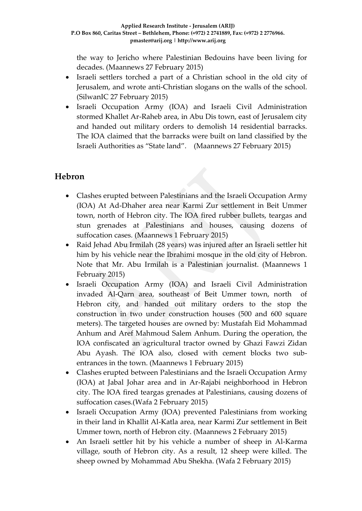the way to Jericho where Palestinian Bedouins have been living for decades. (Maannews 27 February 2015)

- Israeli settlers torched a part of a Christian school in the old city of Jerusalem, and wrote anti-Christian slogans on the walls of the school. (SilwanIC 27 February 2015)
- Israeli Occupation Army (IOA) and Israeli Civil Administration stormed Khallet Ar-Raheb area, in Abu Dis town, east of Jerusalem city and handed out military orders to demolish 14 residential barracks. The IOA claimed that the barracks were built on land classified by the Israeli Authorities as "State land". (Maannews 27 February 2015)

## **Hebron**

- Clashes erupted between Palestinians and the Israeli Occupation Army (IOA) At Ad-Dhaher area near Karmi Zur settlement in Beit Ummer town, north of Hebron city. The IOA fired rubber bullets, teargas and stun grenades at Palestinians and houses, causing dozens of suffocation cases. (Maannews 1 February 2015)
- Raid Jehad Abu Irmilah (28 years) was injured after an Israeli settler hit him by his vehicle near the Ibrahimi mosque in the old city of Hebron. Note that Mr. Abu Irmilah is a Palestinian journalist. (Maannews 1 February 2015)
- Israeli Occupation Army (IOA) and Israeli Civil Administration invaded Al-Qarn area, southeast of Beit Ummer town, north of Hebron city, and handed out military orders to the stop the construction in two under construction houses (500 and 600 square meters). The targeted houses are owned by: Mustafah Eid Mohammad Anhum and Aref Mahmoud Salem Anhum. During the operation, the IOA confiscated an agricultural tractor owned by Ghazi Fawzi Zidan Abu Ayash. The IOA also, closed with cement blocks two subentrances in the town. (Maannews 1 February 2015)
- Clashes erupted between Palestinians and the Israeli Occupation Army (IOA) at Jabal Johar area and in Ar-Rajabi neighborhood in Hebron city. The IOA fired teargas grenades at Palestinians, causing dozens of suffocation cases.(Wafa 2 February 2015)
- Israeli Occupation Army (IOA) prevented Palestinians from working in their land in Khallit Al-Katla area, near Karmi Zur settlement in Beit Ummer town, north of Hebron city. (Maannews 2 February 2015)
- An Israeli settler hit by his vehicle a number of sheep in Al-Karma village, south of Hebron city. As a result, 12 sheep were killed. The sheep owned by Mohammad Abu Shekha. (Wafa 2 February 2015)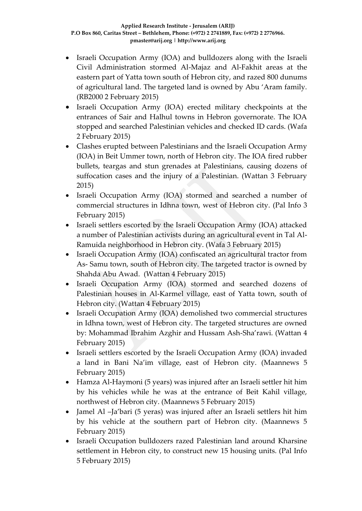- Israeli Occupation Army (IOA) and bulldozers along with the Israeli Civil Administration stormed Al-Majaz and Al-Fakhit areas at the eastern part of Yatta town south of Hebron city, and razed 800 dunums of agricultural land. The targeted land is owned by Abu 'Aram family. (RB2000 2 February 2015)
- Israeli Occupation Army (IOA) erected military checkpoints at the entrances of Sair and Halhul towns in Hebron governorate. The IOA stopped and searched Palestinian vehicles and checked ID cards. (Wafa 2 February 2015)
- Clashes erupted between Palestinians and the Israeli Occupation Army (IOA) in Beit Ummer town, north of Hebron city. The IOA fired rubber bullets, teargas and stun grenades at Palestinians, causing dozens of suffocation cases and the injury of a Palestinian. (Wattan 3 February 2015)
- Israeli Occupation Army (IOA) stormed and searched a number of commercial structures in Idhna town, west of Hebron city. (Pal Info 3 February 2015)
- Israeli settlers escorted by the Israeli Occupation Army (IOA) attacked a number of Palestinian activists during an agricultural event in Tal Al-Ramuida neighborhood in Hebron city. (Wafa 3 February 2015)
- Israeli Occupation Army (IOA) confiscated an agricultural tractor from As- Samu town, south of Hebron city. The targeted tractor is owned by Shahda Abu Awad. (Wattan 4 February 2015)
- Israeli Occupation Army (IOA) stormed and searched dozens of Palestinian houses in Al-Karmel village, east of Yatta town, south of Hebron city. (Wattan 4 February 2015)
- Israeli Occupation Army (IOA) demolished two commercial structures in Idhna town, west of Hebron city. The targeted structures are owned by: Mohammad Ibrahim Azghir and Hussam Ash-Sha'rawi. (Wattan 4 February 2015)
- Israeli settlers escorted by the Israeli Occupation Army (IOA) invaded a land in Bani Na'im village, east of Hebron city. (Maannews 5 February 2015)
- Hamza Al-Haymoni (5 years) was injured after an Israeli settler hit him by his vehicles while he was at the entrance of Beit Kahil village, northwest of Hebron city. (Maannews 5 February 2015)
- Jamel Al –Ja'bari (5 yeras) was injured after an Israeli settlers hit him by his vehicle at the southern part of Hebron city. (Maannews 5 February 2015)
- Israeli Occupation bulldozers razed Palestinian land around Kharsine settlement in Hebron city, to construct new 15 housing units. (Pal Info 5 February 2015)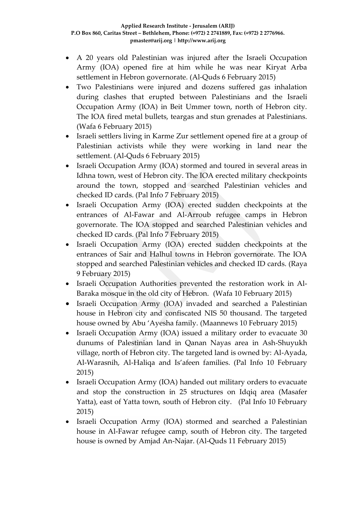- A 20 years old Palestinian was injured after the Israeli Occupation Army (IOA) opened fire at him while he was near Kiryat Arba settlement in Hebron governorate. (Al-Quds 6 February 2015)
- Two Palestinians were injured and dozens suffered gas inhalation during clashes that erupted between Palestinians and the Israeli Occupation Army (IOA) in Beit Ummer town, north of Hebron city. The IOA fired metal bullets, teargas and stun grenades at Palestinians. (Wafa 6 February 2015)
- Israeli settlers living in Karme Zur settlement opened fire at a group of Palestinian activists while they were working in land near the settlement. (Al-Quds 6 February 2015)
- Israeli Occupation Army (IOA) stormed and toured in several areas in Idhna town, west of Hebron city. The IOA erected military checkpoints around the town, stopped and searched Palestinian vehicles and checked ID cards. (Pal Info 7 February 2015)
- Israeli Occupation Army (IOA) erected sudden checkpoints at the entrances of Al-Fawar and Al-Arroub refugee camps in Hebron governorate. The IOA stopped and searched Palestinian vehicles and checked ID cards. (Pal Info 7 February 2015)
- Israeli Occupation Army (IOA) erected sudden checkpoints at the entrances of Sair and Halhul towns in Hebron governorate. The IOA stopped and searched Palestinian vehicles and checked ID cards. (Raya 9 February 2015)
- Israeli Occupation Authorities prevented the restoration work in Al-Baraka mosque in the old city of Hebron. (Wafa 10 February 2015)
- Israeli Occupation Army (IOA) invaded and searched a Palestinian house in Hebron city and confiscated NIS 50 thousand. The targeted house owned by Abu 'Ayesha family. (Maannews 10 February 2015)
- Israeli Occupation Army (IOA) issued a military order to evacuate 30 dunums of Palestinian land in Qanan Nayas area in Ash-Shuyukh village, north of Hebron city. The targeted land is owned by: Al-Ayada, Al-Warasnih, Al-Haliqa and Is'afeen families. (Pal Info 10 February 2015)
- Israeli Occupation Army (IOA) handed out military orders to evacuate and stop the construction in 25 structures on Idqiq area (Masafer Yatta), east of Yatta town, south of Hebron city. (Pal Info 10 February 2015)
- Israeli Occupation Army (IOA) stormed and searched a Palestinian house in Al-Fawar refugee camp, south of Hebron city. The targeted house is owned by Amjad An-Najar. (Al-Quds 11 February 2015)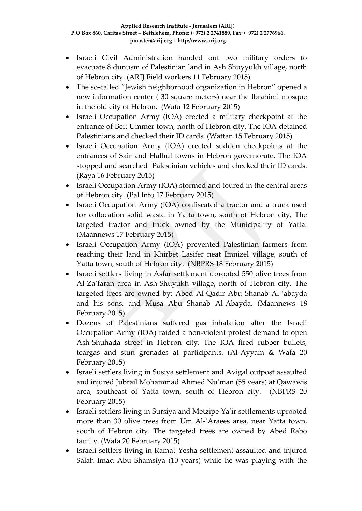- Israeli Civil Administration handed out two military orders to evacuate 8 dunusm of Palestinian land in Ash Shuyyukh village, north of Hebron city. (ARIJ Field workers 11 February 2015)
- The so-called "Jewish neighborhood organization in Hebron" opened a new information center ( 30 square meters) near the Ibrahimi mosque in the old city of Hebron. (Wafa 12 February 2015)
- Israeli Occupation Army (IOA) erected a military checkpoint at the entrance of Beit Ummer town, north of Hebron city. The IOA detained Palestinians and checked their ID cards. (Wattan 15 February 2015)
- Israeli Occupation Army (IOA) erected sudden checkpoints at the entrances of Sair and Halhul towns in Hebron governorate. The IOA stopped and searched Palestinian vehicles and checked their ID cards. (Raya 16 February 2015)
- Israeli Occupation Army (IOA) stormed and toured in the central areas of Hebron city. (Pal Info 17 February 2015)
- Israeli Occupation Army (IOA) confiscated a tractor and a truck used for collocation solid waste in Yatta town, south of Hebron city, The targeted tractor and truck owned by the Municipality of Yatta. (Maannews 17 February 2015)
- Israeli Occupation Army (IOA) prevented Palestinian farmers from reaching their land in Khirbet Lasifer neat Imnizel village, south of Yatta town, south of Hebron city. (NBPRS 18 February 2015)
- Israeli settlers living in Asfar settlement uprooted 550 olive trees from Al-Za'faran area in Ash-Shuyukh village, north of Hebron city. The targeted trees are owned by: Abed Al-Qadir Abu Shanab Al-'abayda and his sons, and Musa Abu Shanab Al-Abayda. (Maannews 18 February 2015)
- Dozens of Palestinians suffered gas inhalation after the Israeli Occupation Army (IOA) raided a non-violent protest demand to open Ash-Shuhada street in Hebron city. The IOA fired rubber bullets, teargas and stun grenades at participants. (Al-Ayyam & Wafa 20 February 2015)
- Israeli settlers living in Susiya settlement and Avigal outpost assaulted and injured Jubrail Mohammad Ahmed Nu'man (55 years) at Qawawis area, southeast of Yatta town, south of Hebron city. (NBPRS 20 February 2015)
- Israeli settlers living in Sursiya and Metzipe Ya'ir settlements uprooted more than 30 olive trees from Um Al-'Araees area, near Yatta town, south of Hebron city. The targeted trees are owned by Abed Rabo family. (Wafa 20 February 2015)
- Israeli settlers living in Ramat Yesha settlement assaulted and injured Salah Imad Abu Shamsiya (10 years) while he was playing with the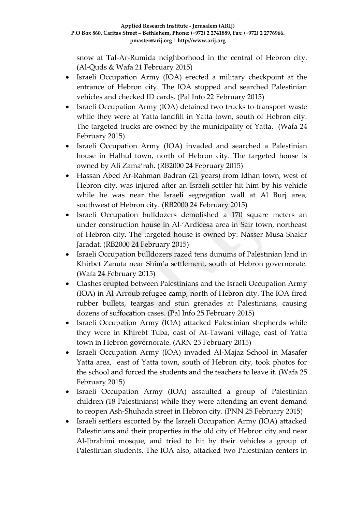snow at Tal-Ar-Rumida neighborhood in the central of Hebron city. (Al-Quds & Wafa 21 February 2015)

- Israeli Occupation Army (IOA) erected a military checkpoint at the entrance of Hebron city. The IOA stopped and searched Palestinian vehicles and checked ID cards. (Pal Info 22 February 2015)
- Israeli Occupation Army (IOA) detained two trucks to transport waste while they were at Yatta landfill in Yatta town, south of Hebron city. The targeted trucks are owned by the municipality of Yatta. (Wafa 24 February 2015)
- Israeli Occupation Army (IOA) invaded and searched a Palestinian house in Halhul town, north of Hebron city. The targeted house is owned by Ali Zama'rah. (RB2000 24 February 2015)
- Hassan Abed Ar-Rahman Badran (21 years) from Idhan town, west of Hebron city, was injured after an Israeli settler hit him by his vehicle while he was near the Israeli segregation wall at Al Burj area, southwest of Hebron city. (RB2000 24 February 2015)
- Israeli Occupation bulldozers demolished a 170 square meters an under construction house in Al-'Ardieesa area in Sair town, northeast of Hebron city. The targeted house is owned by: Nasser Musa Shakir Jaradat. (RB2000 24 February 2015)
- Israeli Occupation bulldozers razed tens dunums of Palestinian land in Khirbet Zanuta near Shim'a settlement, south of Hebron governorate. (Wafa 24 February 2015)
- Clashes erupted between Palestinians and the Israeli Occupation Army (IOA) in Al-Arroub refugee camp, north of Hebron city. The IOA fired rubber bullets, teargas and stun grenades at Palestinians, causing dozens of suffocation cases. (Pal Info 25 February 2015)
- Israeli Occupation Army (IOA) attacked Palestinian shepherds while they were in Khirebt Tuba, east of At-Tawani village, east of Yatta town in Hebron governorate. (ARN 25 February 2015)
- Israeli Occupation Army (IOA) invaded Al-Majaz School in Masafer Yatta area, east of Yatta town, south of Hebron city, took photos for the school and forced the students and the teachers to leave it. (Wafa 25 February 2015)
- Israeli Occupation Army (IOA) assaulted a group of Palestinian children (18 Palestinians) while they were attending an event demand to reopen Ash-Shuhada street in Hebron city. (PNN 25 February 2015)
- Israeli settlers escorted by the Israeli Occupation Army (IOA) attacked Palestinians and their properties in the old city of Hebron city and near Al-Ibrahimi mosque, and tried to hit by their vehicles a group of Palestinian students. The IOA also, attacked two Palestinian centers in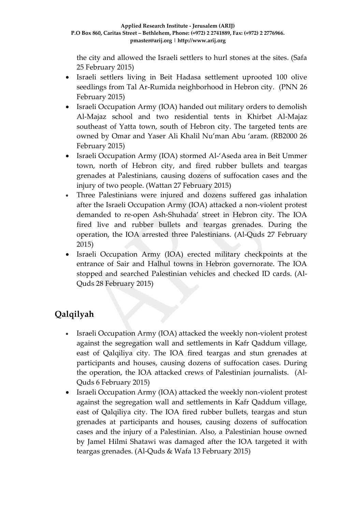the city and allowed the Israeli settlers to hurl stones at the sites. (Safa 25 February 2015)

- Israeli settlers living in Beit Hadasa settlement uprooted 100 olive seedlings from Tal Ar-Rumida neighborhood in Hebron city. (PNN 26 February 2015)
- Israeli Occupation Army (IOA) handed out military orders to demolish Al-Majaz school and two residential tents in Khirbet Al-Majaz southeast of Yatta town, south of Hebron city. The targeted tents are owned by Omar and Yaser Ali Khalil Nu'man Abu 'aram. (RB2000 26 February 2015)
- Israeli Occupation Army (IOA) stormed Al-'Aseda area in Beit Ummer town, north of Hebron city, and fired rubber bullets and teargas grenades at Palestinians, causing dozens of suffocation cases and the injury of two people. (Wattan 27 February 2015)
- Three Palestinians were injured and dozens suffered gas inhalation after the Israeli Occupation Army (IOA) attacked a non-violent protest demanded to re-open Ash-Shuhada' street in Hebron city. The IOA fired live and rubber bullets and teargas grenades. During the operation, the IOA arrested three Palestinians. (Al-Quds 27 February 2015)
- Israeli Occupation Army (IOA) erected military checkpoints at the entrance of Sair and Halhul towns in Hebron governorate. The IOA stopped and searched Palestinian vehicles and checked ID cards. (Al-Quds 28 February 2015)

## **Qalqilyah**

- Israeli Occupation Army (IOA) attacked the weekly non-violent protest against the segregation wall and settlements in Kafr Qaddum village, east of Qalqiliya city. The IOA fired teargas and stun grenades at participants and houses, causing dozens of suffocation cases. During the operation, the IOA attacked crews of Palestinian journalists. (Al-Quds 6 February 2015)
- Israeli Occupation Army (IOA) attacked the weekly non-violent protest against the segregation wall and settlements in Kafr Qaddum village, east of Qalqiliya city. The IOA fired rubber bullets, teargas and stun grenades at participants and houses, causing dozens of suffocation cases and the injury of a Palestinian. Also, a Palestinian house owned by Jamel Hilmi Shatawi was damaged after the IOA targeted it with teargas grenades. (Al-Quds & Wafa 13 February 2015)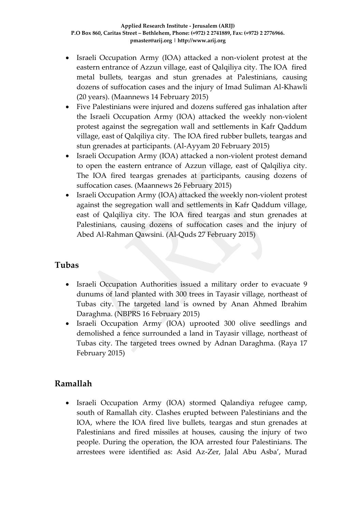- Israeli Occupation Army (IOA) attacked a non-violent protest at the eastern entrance of Azzun village, east of Qalqiliya city. The IOA fired metal bullets, teargas and stun grenades at Palestinians, causing dozens of suffocation cases and the injury of Imad Suliman Al-Khawli (20 years). (Maannews 14 February 2015)
- Five Palestinians were injured and dozens suffered gas inhalation after the Israeli Occupation Army (IOA) attacked the weekly non-violent protest against the segregation wall and settlements in Kafr Qaddum village, east of Qalqiliya city. The IOA fired rubber bullets, teargas and stun grenades at participants. (Al-Ayyam 20 February 2015)
- Israeli Occupation Army (IOA) attacked a non-violent protest demand to open the eastern entrance of Azzun village, east of Qalqiliya city. The IOA fired teargas grenades at participants, causing dozens of suffocation cases. (Maannews 26 February 2015)
- Israeli Occupation Army (IOA) attacked the weekly non-violent protest against the segregation wall and settlements in Kafr Qaddum village, east of Qalqiliya city. The IOA fired teargas and stun grenades at Palestinians, causing dozens of suffocation cases and the injury of Abed Al-Rahman Qawsini. (Al-Quds 27 February 2015)

### **Tubas**

- Israeli Occupation Authorities issued a military order to evacuate 9 dunums of land planted with 300 trees in Tayasir village, northeast of Tubas city. The targeted land is owned by Anan Ahmed Ibrahim Daraghma. (NBPRS 16 February 2015)
- Israeli Occupation Army (IOA) uprooted 300 olive seedlings and demolished a fence surrounded a land in Tayasir village, northeast of Tubas city. The targeted trees owned by Adnan Daraghma. (Raya 17 February 2015)

### **Ramallah**

 Israeli Occupation Army (IOA) stormed Qalandiya refugee camp, south of Ramallah city. Clashes erupted between Palestinians and the IOA, where the IOA fired live bullets, teargas and stun grenades at Palestinians and fired missiles at houses, causing the injury of two people. During the operation, the IOA arrested four Palestinians. The arrestees were identified as: Asid Az-Zer, Jalal Abu Asba', Murad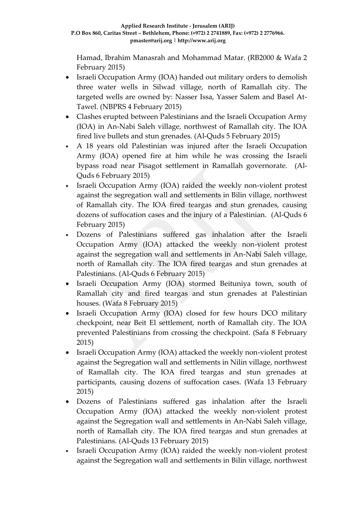Hamad, Ibrahim Manasrah and Mohammad Matar. (RB2000 & Wafa 2 February 2015)

- Israeli Occupation Army (IOA) handed out military orders to demolish three water wells in Silwad village, north of Ramallah city. The targeted wells are owned by: Nasser Issa, Yasser Salem and Basel At-Tawel. (NBPRS 4 February 2015)
- Clashes erupted between Palestinians and the Israeli Occupation Army (IOA) in An-Nabi Saleh village, northwest of Ramallah city. The IOA fired live bullets and stun grenades. (Al-Quds 5 February 2015)
- A 18 years old Palestinian was injured after the Israeli Occupation Army (IOA) opened fire at him while he was crossing the Israeli bypass road near Pisagot settlement in Ramallah governorate. (Al-Quds 6 February 2015)
- Israeli Occupation Army (IOA) raided the weekly non-violent protest against the segregation wall and settlements in Bilin village, northwest of Ramallah city. The IOA fired teargas and stun grenades, causing dozens of suffocation cases and the injury of a Palestinian. (Al-Quds 6 February 2015)
- Dozens of Palestinians suffered gas inhalation after the Israeli Occupation Army (IOA) attacked the weekly non-violent protest against the segregation wall and settlements in An-Nabi Saleh village, north of Ramallah city. The IOA fired teargas and stun grenades at Palestinians. (Al-Quds 6 February 2015)
- Israeli Occupation Army (IOA) stormed Beituniya town, south of Ramallah city and fired teargas and stun grenades at Palestinian houses. (Wafa 8 February 2015)
- Israeli Occupation Army (IOA) closed for few hours DCO military checkpoint, near Beit El settlement, north of Ramallah city. The IOA prevented Palestinians from crossing the checkpoint. (Safa 8 February 2015)
- Israeli Occupation Army (IOA) attacked the weekly non-violent protest against the Segregation wall and settlements in Nilin village, northwest of Ramallah city. The IOA fired teargas and stun grenades at participants, causing dozens of suffocation cases. (Wafa 13 February 2015)
- Dozens of Palestinians suffered gas inhalation after the Israeli Occupation Army (IOA) attacked the weekly non-violent protest against the Segregation wall and settlements in An-Nabi Saleh village, north of Ramallah city. The IOA fired teargas and stun grenades at Palestinians. (Al-Quds 13 February 2015)
- Israeli Occupation Army (IOA) raided the weekly non-violent protest against the Segregation wall and settlements in Bilin village, northwest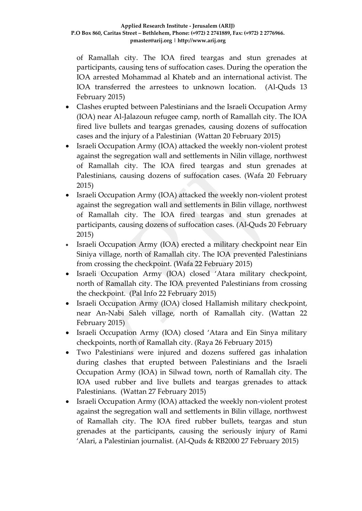of Ramallah city. The IOA fired teargas and stun grenades at participants, causing tens of suffocation cases. During the operation the IOA arrested Mohammad al Khateb and an international activist. The IOA transferred the arrestees to unknown location. (Al-Quds 13 February 2015)

- Clashes erupted between Palestinians and the Israeli Occupation Army (IOA) near Al-Jalazoun refugee camp, north of Ramallah city. The IOA fired live bullets and teargas grenades, causing dozens of suffocation cases and the injury of a Palestinian (Wattan 20 February 2015)
- Israeli Occupation Army (IOA) attacked the weekly non-violent protest against the segregation wall and settlements in Nilin village, northwest of Ramallah city. The IOA fired teargas and stun grenades at Palestinians, causing dozens of suffocation cases. (Wafa 20 February 2015)
- Israeli Occupation Army (IOA) attacked the weekly non-violent protest against the segregation wall and settlements in Bilin village, northwest of Ramallah city. The IOA fired teargas and stun grenades at participants, causing dozens of suffocation cases. (Al-Quds 20 February 2015)
- Israeli Occupation Army (IOA) erected a military checkpoint near Ein Siniya village, north of Ramallah city. The IOA prevented Palestinians from crossing the checkpoint. (Wafa 22 February 2015)
- Israeli Occupation Army (IOA) closed 'Atara military checkpoint, north of Ramallah city. The IOA prevented Palestinians from crossing the checkpoint. (Pal Info 22 February 2015)
- Israeli Occupation Army (IOA) closed Hallamish military checkpoint, near An-Nabi Saleh village, north of Ramallah city. (Wattan 22 February 2015)
- Israeli Occupation Army (IOA) closed 'Atara and Ein Sinya military checkpoints, north of Ramallah city. (Raya 26 February 2015)
- Two Palestinians were injured and dozens suffered gas inhalation during clashes that erupted between Palestinians and the Israeli Occupation Army (IOA) in Silwad town, north of Ramallah city. The IOA used rubber and live bullets and teargas grenades to attack Palestinians. (Wattan 27 February 2015)
- Israeli Occupation Army (IOA) attacked the weekly non-violent protest against the segregation wall and settlements in Bilin village, northwest of Ramallah city. The IOA fired rubber bullets, teargas and stun grenades at the participants, causing the seriously injury of Rami 'Alari, a Palestinian journalist. (Al-Quds & RB2000 27 February 2015)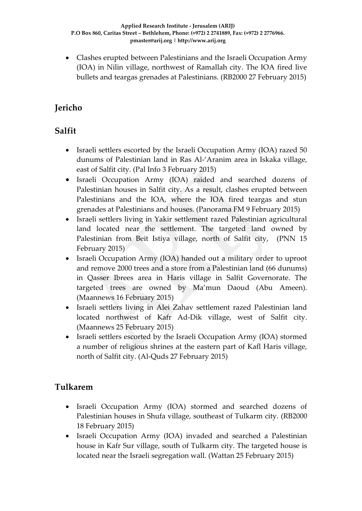Clashes erupted between Palestinians and the Israeli Occupation Army (IOA) in Nilin village, northwest of Ramallah city. The IOA fired live bullets and teargas grenades at Palestinians. (RB2000 27 February 2015)

## **Jericho**

## **Salfit**

- Israeli settlers escorted by the Israeli Occupation Army (IOA) razed 50 dunums of Palestinian land in Ras Al-'Aranim area in Iskaka village, east of Salfit city. (Pal Info 3 February 2015)
- Israeli Occupation Army (IOA) raided and searched dozens of Palestinian houses in Salfit city. As a result, clashes erupted between Palestinians and the IOA, where the IOA fired teargas and stun grenades at Palestinians and houses. (Panorama FM 9 February 2015)
- Israeli settlers living in Yakir settlement razed Palestinian agricultural land located near the settlement. The targeted land owned by Palestinian from Beit Istiya village, north of Salfit city, (PNN 15 February 2015)
- Israeli Occupation Army (IOA) handed out a military order to uproot and remove 2000 trees and a store from a Palestinian land (66 dunums) in Qasser Ibrees area in Haris village in Salfit Governorate. The targeted trees are owned by Ma'mun Daoud (Abu Ameen). (Maannews 16 February 2015)
- Israeli settlers living in Alei Zahav settlement razed Palestinian land located northwest of Kafr Ad-Dik village, west of Salfit city. (Maannews 25 February 2015)
- Israeli settlers escorted by the Israeli Occupation Army (IOA) stormed a number of religious shrines at the eastern part of Kafl Haris village, north of Salfit city. (Al-Quds 27 February 2015)

## **Tulkarem**

- Israeli Occupation Army (IOA) stormed and searched dozens of Palestinian houses in Shufa village, southeast of Tulkarm city. (RB2000 18 February 2015)
- Israeli Occupation Army (IOA) invaded and searched a Palestinian house in Kafr Sur village, south of Tulkarm city. The targeted house is located near the Israeli segregation wall. (Wattan 25 February 2015)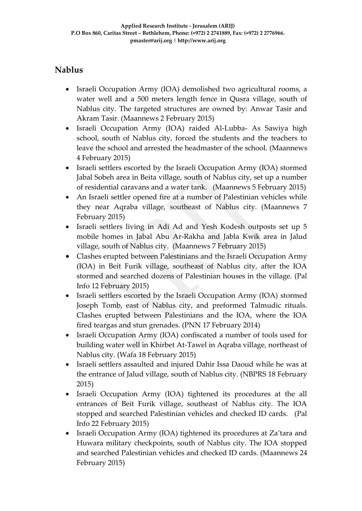## **Nablus**

- Israeli Occupation Army (IOA) demolished two agricultural rooms, a water well and a 500 meters length fence in Qusra village, south of Nablus city. The targeted structures are owned by: Anwar Tasir and Akram Tasir. (Maannews 2 February 2015)
- Israeli Occupation Army (IOA) raided Al-Lubba- As Sawiya high school, south of Nablus city, forced the students and the teachers to leave the school and arrested the headmaster of the school. (Maannews 4 February 2015)
- Israeli settlers escorted by the Israeli Occupation Army (IOA) stormed Jabal Sobeh area in Beita village, south of Nablus city, set up a number of residential caravans and a water tank. (Maannews 5 February 2015)
- An Israeli settler opened fire at a number of Palestinian vehicles while they near Aqraba village, southeast of Nablus city. (Maannews 7 February 2015)
- Israeli settlers living in Adi Ad and Yesh Kodesh outposts set up 5 mobile homes in Jabal Abu Ar-Rakha and Jabla Kwik area in Jalud village, south of Nablus city. (Maannews 7 February 2015)
- Clashes erupted between Palestinians and the Israeli Occupation Army (IOA) in Beit Furik village, southeast of Nablus city, after the IOA stormed and searched dozens of Palestinian houses in the village. (Pal Info 12 February 2015)
- Israeli settlers escorted by the Israeli Occupation Army (IOA) stormed Joseph Tomb, east of Nablus city, and preformed Talmudic rituals. Clashes erupted between Palestinians and the IOA, where the IOA fired teargas and stun grenades. (PNN 17 February 2014)
- Israeli Occupation Army (IOA) confiscated a number of tools used for building water well in Khirbet At-Tawel in Aqraba village, northeast of Nablus city. (Wafa 18 February 2015)
- Israeli settlers assaulted and injured Dahir Issa Daoud while he was at the entrance of Jalud village, south of Nablus city. (NBPRS 18 February 2015)
- Israeli Occupation Army (IOA) tightened its procedures at the all entrances of Beit Furik village, southeast of Nablus city. The IOA stopped and searched Palestinian vehicles and checked ID cards. (Pal Info 22 February 2015)
- Israeli Occupation Army (IOA) tightened its procedures at Za'tara and Huwara military checkpoints, south of Nablus city. The IOA stopped and searched Palestinian vehicles and checked ID cards. (Maannews 24 February 2015)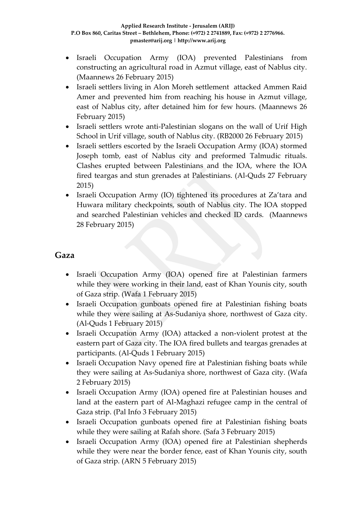- Israeli Occupation Army (IOA) prevented Palestinians from constructing an agricultural road in Azmut village, east of Nablus city. (Maannews 26 February 2015)
- Israeli settlers living in Alon Moreh settlement attacked Ammen Raid Amer and prevented him from reaching his house in Azmut village, east of Nablus city, after detained him for few hours. (Maannews 26 February 2015)
- Israeli settlers wrote anti-Palestinian slogans on the wall of Urif High School in Urif village, south of Nablus city. (RB2000 26 February 2015)
- Israeli settlers escorted by the Israeli Occupation Army (IOA) stormed Joseph tomb, east of Nablus city and preformed Talmudic rituals. Clashes erupted between Palestinians and the IOA, where the IOA fired teargas and stun grenades at Palestinians. (Al-Quds 27 February 2015)
- Israeli Occupation Army (IO) tightened its procedures at Za'tara and Huwara military checkpoints, south of Nablus city. The IOA stopped and searched Palestinian vehicles and checked ID cards. (Maannews 28 February 2015)

### **Gaza**

- Israeli Occupation Army (IOA) opened fire at Palestinian farmers while they were working in their land, east of Khan Younis city, south of Gaza strip. (Wafa 1 February 2015)
- Israeli Occupation gunboats opened fire at Palestinian fishing boats while they were sailing at As-Sudaniya shore, northwest of Gaza city. (Al-Quds 1 February 2015)
- Israeli Occupation Army (IOA) attacked a non-violent protest at the eastern part of Gaza city. The IOA fired bullets and teargas grenades at participants. (Al-Quds 1 February 2015)
- Israeli Occupation Navy opened fire at Palestinian fishing boats while they were sailing at As-Sudaniya shore, northwest of Gaza city. (Wafa 2 February 2015)
- Israeli Occupation Army (IOA) opened fire at Palestinian houses and land at the eastern part of Al-Maghazi refugee camp in the central of Gaza strip. (Pal Info 3 February 2015)
- Israeli Occupation gunboats opened fire at Palestinian fishing boats while they were sailing at Rafah shore. (Safa 3 February 2015)
- Israeli Occupation Army (IOA) opened fire at Palestinian shepherds while they were near the border fence, east of Khan Younis city, south of Gaza strip. (ARN 5 February 2015)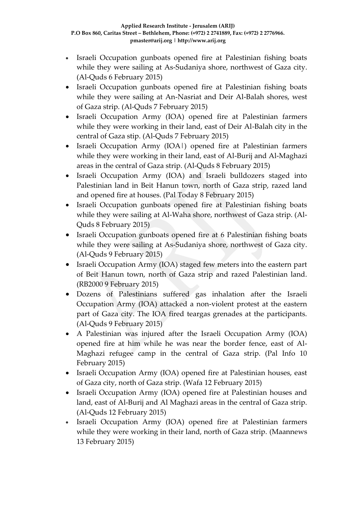- Israeli Occupation gunboats opened fire at Palestinian fishing boats while they were sailing at As-Sudaniya shore, northwest of Gaza city. (Al-Quds 6 February 2015)
- Israeli Occupation gunboats opened fire at Palestinian fishing boats while they were sailing at An-Nasriat and Deir Al-Balah shores, west of Gaza strip. (Al-Quds 7 February 2015)
- Israeli Occupation Army (IOA) opened fire at Palestinian farmers while they were working in their land, east of Deir Al-Balah city in the central of Gaza stip. (Al-Quds 7 February 2015)
- Israeli Occupation Army (IOA|) opened fire at Palestinian farmers while they were working in their land, east of Al-Burij and Al-Maghazi areas in the central of Gaza strip. (Al-Quds 8 February 2015)
- Israeli Occupation Army (IOA) and Israeli bulldozers staged into Palestinian land in Beit Hanun town, north of Gaza strip, razed land and opened fire at houses. (Pal Today 8 February 2015)
- Israeli Occupation gunboats opened fire at Palestinian fishing boats while they were sailing at Al-Waha shore, northwest of Gaza strip. (Al-Quds 8 February 2015)
- Israeli Occupation gunboats opened fire at 6 Palestinian fishing boats while they were sailing at As-Sudaniya shore, northwest of Gaza city. (Al-Quds 9 February 2015)
- Israeli Occupation Army (IOA) staged few meters into the eastern part of Beit Hanun town, north of Gaza strip and razed Palestinian land. (RB2000 9 February 2015)
- Dozens of Palestinians suffered gas inhalation after the Israeli Occupation Army (IOA) attacked a non-violent protest at the eastern part of Gaza city. The IOA fired teargas grenades at the participants. (Al-Quds 9 February 2015)
- A Palestinian was injured after the Israeli Occupation Army (IOA) opened fire at him while he was near the border fence, east of Al-Maghazi refugee camp in the central of Gaza strip. (Pal Info 10 February 2015)
- Israeli Occupation Army (IOA) opened fire at Palestinian houses, east of Gaza city, north of Gaza strip. (Wafa 12 February 2015)
- Israeli Occupation Army (IOA) opened fire at Palestinian houses and land, east of Al-Burij and Al Maghazi areas in the central of Gaza strip. (Al-Quds 12 February 2015)
- Israeli Occupation Army (IOA) opened fire at Palestinian farmers while they were working in their land, north of Gaza strip. (Maannews 13 February 2015)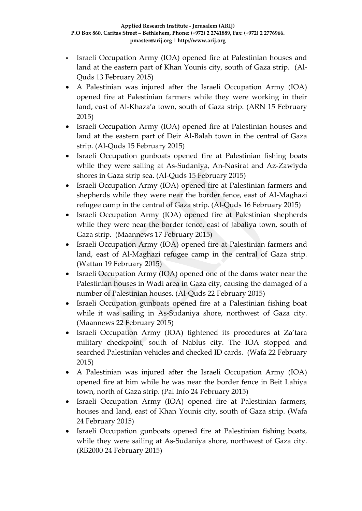- Israeli Occupation Army (IOA) opened fire at Palestinian houses and land at the eastern part of Khan Younis city, south of Gaza strip. (Al-Quds 13 February 2015)
- A Palestinian was injured after the Israeli Occupation Army (IOA) opened fire at Palestinian farmers while they were working in their land, east of Al-Khaza'a town, south of Gaza strip. (ARN 15 February 2015)
- Israeli Occupation Army (IOA) opened fire at Palestinian houses and land at the eastern part of Deir Al-Balah town in the central of Gaza strip. (Al-Quds 15 February 2015)
- Israeli Occupation gunboats opened fire at Palestinian fishing boats while they were sailing at As-Sudaniya, An-Nasirat and Az-Zawiyda shores in Gaza strip sea. (Al-Quds 15 February 2015)
- Israeli Occupation Army (IOA) opened fire at Palestinian farmers and shepherds while they were near the border fence, east of Al-Maghazi refugee camp in the central of Gaza strip. (Al-Quds 16 February 2015)
- Israeli Occupation Army (IOA) opened fire at Palestinian shepherds while they were near the border fence, east of Jabaliya town, south of Gaza strip. (Maannews 17 February 2015)
- Israeli Occupation Army (IOA) opened fire at Palestinian farmers and land, east of Al-Maghazi refugee camp in the central of Gaza strip. (Wattan 19 February 2015)
- Israeli Occupation Army (IOA) opened one of the dams water near the Palestinian houses in Wadi area in Gaza city, causing the damaged of a number of Palestinian houses. (Al-Quds 22 February 2015)
- Israeli Occupation gunboats opened fire at a Palestinian fishing boat while it was sailing in As-Sudaniya shore, northwest of Gaza city. (Maannews 22 February 2015)
- Israeli Occupation Army (IOA) tightened its procedures at Za'tara military checkpoint, south of Nablus city. The IOA stopped and searched Palestinian vehicles and checked ID cards. (Wafa 22 February 2015)
- A Palestinian was injured after the Israeli Occupation Army (IOA) opened fire at him while he was near the border fence in Beit Lahiya town, north of Gaza strip. (Pal Info 24 February 2015)
- Israeli Occupation Army (IOA) opened fire at Palestinian farmers, houses and land, east of Khan Younis city, south of Gaza strip. (Wafa 24 February 2015)
- Israeli Occupation gunboats opened fire at Palestinian fishing boats, while they were sailing at As-Sudaniya shore, northwest of Gaza city. (RB2000 24 February 2015)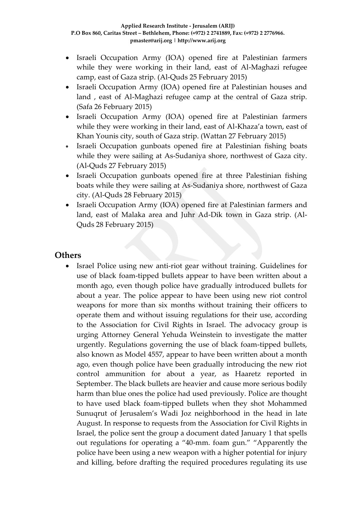- Israeli Occupation Army (IOA) opened fire at Palestinian farmers while they were working in their land, east of Al-Maghazi refugee camp, east of Gaza strip. (Al-Quds 25 February 2015)
- Israeli Occupation Army (IOA) opened fire at Palestinian houses and land , east of Al-Maghazi refugee camp at the central of Gaza strip. (Safa 26 February 2015)
- Israeli Occupation Army (IOA) opened fire at Palestinian farmers while they were working in their land, east of Al-Khaza'a town, east of Khan Younis city, south of Gaza strip. (Wattan 27 February 2015)
- Israeli Occupation gunboats opened fire at Palestinian fishing boats while they were sailing at As-Sudaniya shore, northwest of Gaza city. (Al-Quds 27 February 2015)
- Israeli Occupation gunboats opened fire at three Palestinian fishing boats while they were sailing at As-Sudaniya shore, northwest of Gaza city. (Al-Quds 28 February 2015)
- Israeli Occupation Army (IOA) opened fire at Palestinian farmers and land, east of Malaka area and Juhr Ad-Dik town in Gaza strip. (Al-Quds 28 February 2015)

### **Others**

 Israel Police using new anti-riot gear without training. Guidelines for use of black foam-tipped bullets appear to have been written about a month ago, even though police have gradually introduced bullets for about a year. The police appear to have been using new riot control weapons for more than six months without training their officers to operate them and without issuing regulations for their use, according to the Association for Civil Rights in Israel. The advocacy group is urging Attorney General Yehuda Weinstein to investigate the matter urgently. Regulations governing the use of black foam-tipped bullets, also known as Model 4557, appear to have been written about a month ago, even though police have been gradually introducing the new riot control ammunition for about a year, as Haaretz reported in September. The black bullets are heavier and cause more serious bodily harm than blue ones the police had used previously. Police are thought to have used black foam-tipped bullets when they shot Mohammed Sunuqrut of Jerusalem's Wadi Joz neighborhood in the head in late August. In response to requests from the Association for Civil Rights in Israel, the police sent the group a document dated January 1 that spells out regulations for operating a "40-mm. foam gun." "Apparently the police have been using a new weapon with a higher potential for injury and killing, before drafting the required procedures regulating its use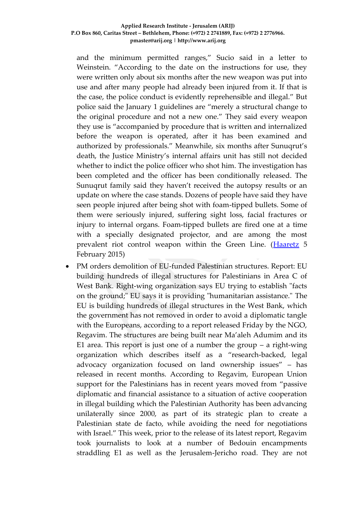and the minimum permitted ranges," Sucio said in a letter to Weinstein. "According to the date on the instructions for use, they were written only about six months after the new weapon was put into use and after many people had already been injured from it. If that is the case, the police conduct is evidently reprehensible and illegal." But police said the January 1 guidelines are "merely a structural change to the original procedure and not a new one." They said every weapon they use is "accompanied by procedure that is written and internalized before the weapon is operated, after it has been examined and authorized by professionals." Meanwhile, six months after Sunuqrut's death, the Justice Ministry's internal affairs unit has still not decided whether to indict the police officer who shot him. The investigation has been completed and the officer has been conditionally released. The Sunuqrut family said they haven't received the autopsy results or an update on where the case stands. Dozens of people have said they have seen people injured after being shot with foam-tipped bullets. Some of them were seriously injured, suffering sight loss, facial fractures or injury to internal organs. Foam-tipped bullets are fired one at a time with a specially designated projector, and are among the most prevalent riot control weapon within the Green Line. [\(Haaretz](http://www.haaretz.com/news/diplomacy-defense/.premium-1.640883) 5 February 2015)

 PM orders demolition of EU-funded Palestinian structures. Report: EU building hundreds of illegal structures for Palestinians in Area C of West Bank. Right-wing organization says EU trying to establish "facts on the ground;" EU says it is providing "humanitarian assistance." The EU is building hundreds of illegal structures in the West Bank, which the government has not removed in order to avoid a diplomatic tangle with the Europeans, according to a report released Friday by the NGO, Regavim. The structures are being built near Ma'aleh Adumim and its E1 area. This report is just one of a number the group  $-$  a right-wing organization which describes itself as a "research-backed, legal advocacy organization focused on land ownership issues" – has released in recent months. According to Regavim, European Union support for the Palestinians has in recent years moved from "passive diplomatic and financial assistance to a situation of active cooperation in illegal building which the Palestinian Authority has been advancing unilaterally since 2000, as part of its strategic plan to create a Palestinian state de facto, while avoiding the need for negotiations with Israel." This week, prior to the release of its latest report, Regavim took journalists to look at a number of Bedouin encampments straddling E1 as well as the Jerusalem-Jericho road. They are not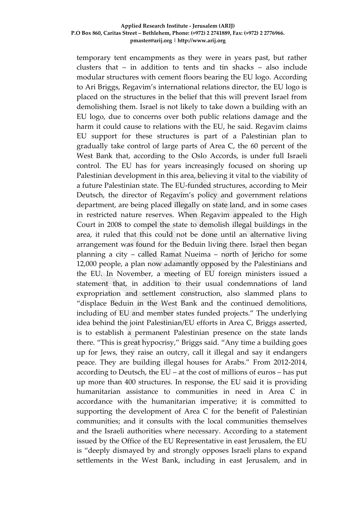temporary tent encampments as they were in years past, but rather clusters that – in addition to tents and tin shacks – also include modular structures with cement floors bearing the EU logo. According to Ari Briggs, Regavim's international relations director, the EU logo is placed on the structures in the belief that this will prevent Israel from demolishing them. Israel is not likely to take down a building with an EU logo, due to concerns over both public relations damage and the harm it could cause to relations with the EU, he said. Regavim claims EU support for these structures is part of a Palestinian plan to gradually take control of large parts of Area C, the 60 percent of the West Bank that, according to the Oslo Accords, is under full Israeli control. The EU has for years increasingly focused on shoring up Palestinian development in this area, believing it vital to the viability of a future Palestinian state. The EU-funded structures, according to Meir Deutsch, the director of Regavim's policy and government relations department, are being placed illegally on state land, and in some cases in restricted nature reserves. When Regavim appealed to the High Court in 2008 to compel the state to demolish illegal buildings in the area, it ruled that this could not be done until an alternative living arrangement was found for the Beduin living there. Israel then began planning a city – called Ramat Nueima – north of Jericho for some 12,000 people, a plan now adamantly opposed by the Palestinians and the EU. In November, a meeting of EU foreign ministers issued a statement that, in addition to their usual condemnations of land expropriation and settlement construction, also slammed plans to "displace Beduin in the West Bank and the continued demolitions, including of EU and member states funded projects." The underlying idea behind the joint Palestinian/EU efforts in Area C, Briggs asserted, is to establish a permanent Palestinian presence on the state lands there. "This is great hypocrisy," Briggs said. "Any time a building goes up for Jews, they raise an outcry, call it illegal and say it endangers peace. They are building illegal houses for Arabs." From 2012-2014, according to Deutsch, the EU – at the cost of millions of euros – has put up more than 400 structures. In response, the EU said it is providing humanitarian assistance to communities in need in Area C in accordance with the humanitarian imperative; it is committed to supporting the development of Area C for the benefit of Palestinian communities; and it consults with the local communities themselves and the Israeli authorities where necessary. According to a statement issued by the Office of the EU Representative in east Jerusalem, the EU is "deeply dismayed by and strongly opposes Israeli plans to expand settlements in the West Bank, including in east Jerusalem, and in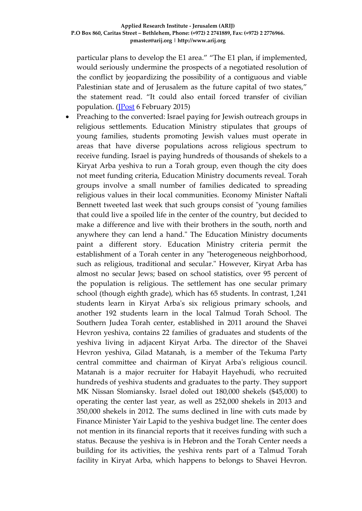particular plans to develop the E1 area." "The E1 plan, if implemented, would seriously undermine the prospects of a negotiated resolution of the conflict by jeopardizing the possibility of a contiguous and viable Palestinian state and of Jerusalem as the future capital of two states," the statement read. "It could also entail forced transfer of civilian population. [\(JPost](http://www.jpost.com/Arab-Israeli-Conflict/Report-EU-building-hundreds-of-illegal-structures-for-Palestinians-in-Area-C-of-West-Bank-390184) 6 February 2015)

 Preaching to the converted: Israel paying for Jewish outreach groups in religious settlements. Education Ministry stipulates that groups of young families, students promoting Jewish values must operate in areas that have diverse populations across religious spectrum to receive funding. Israel is paying hundreds of thousands of shekels to a Kiryat Arba yeshiva to run a Torah group, even though the city does not meet funding criteria, Education Ministry documents reveal. Torah groups involve a small number of families dedicated to spreading religious values in their local communities. Economy Minister Naftali Bennett tweeted last week that such groups consist of "young families that could live a spoiled life in the center of the country, but decided to make a difference and live with their brothers in the south, north and anywhere they can lend a hand." The Education Ministry documents paint a different story. Education Ministry criteria permit the establishment of a Torah center in any "heterogeneous neighborhood, such as religious, traditional and secular." However, Kiryat Arba has almost no secular Jews; based on school statistics, over 95 percent of the population is religious. The settlement has one secular primary school (though eighth grade), which has 65 students. In contrast, 1,241 students learn in Kiryat Arba's six religious primary schools, and another 192 students learn in the local Talmud Torah School. The Southern Judea Torah center, established in 2011 around the Shavei Hevron yeshiva, contains 22 families of graduates and students of the yeshiva living in adjacent Kiryat Arba. The director of the Shavei Hevron yeshiva, Gilad Matanah, is a member of the Tekuma Party central committee and chairman of Kiryat Arba's religious council. Matanah is a major recruiter for Habayit Hayehudi, who recruited hundreds of yeshiva students and graduates to the party. They support MK Nissan Slomiansky. Israel doled out 180,000 shekels (\$45,000) to operating the center last year, as well as 252,000 shekels in 2013 and 350,000 shekels in 2012. The sums declined in line with cuts made by Finance Minister Yair Lapid to the yeshiva budget line. The center does not mention in its financial reports that it receives funding with such a status. Because the yeshiva is in Hebron and the Torah Center needs a building for its activities, the yeshiva rents part of a Talmud Torah facility in Kiryat Arba, which happens to belongs to Shavei Hevron.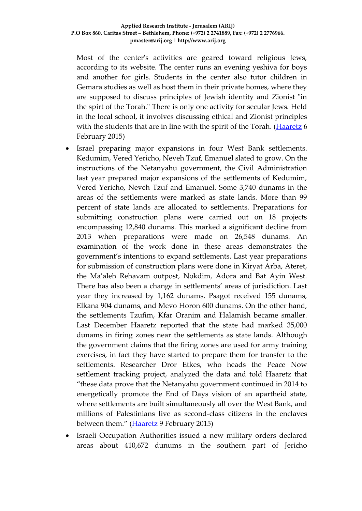Most of the center's activities are geared toward religious Jews, according to its website. The center runs an evening yeshiva for boys and another for girls. Students in the center also tutor children in Gemara studies as well as host them in their private homes, where they are supposed to discuss principles of Jewish identity and Zionist "in the spirt of the Torah." There is only one activity for secular Jews. Held in the local school, it involves discussing ethical and Zionist principles with the students that are in line with the spirit of the Torah. [\(Haaretz](http://www.haaretz.com/news/national/.premium-1.641145) 6 February 2015)

- Israel preparing major expansions in four West Bank settlements. Kedumim, Vered Yericho, Neveh Tzuf, Emanuel slated to grow. On the instructions of the Netanyahu government, the Civil Administration last year prepared major expansions of the settlements of Kedumim, Vered Yericho, Neveh Tzuf and Emanuel. Some 3,740 dunams in the areas of the settlements were marked as state lands. More than 99 percent of state lands are allocated to settlements. Preparations for submitting construction plans were carried out on 18 projects encompassing 12,840 dunams. This marked a significant decline from 2013 when preparations were made on 26,548 dunams. An examination of the work done in these areas demonstrates the government's intentions to expand settlements. Last year preparations for submission of construction plans were done in Kiryat Arba, Ateret, the Ma'aleh Rehavam outpost, Nokdim, Adora and Bat Ayin West. There has also been a change in settlements' areas of jurisdiction. Last year they increased by 1,162 dunams. Psagot received 155 dunams, Elkana 904 dunams, and Mevo Horon 600 dunams. On the other hand, the settlements Tzufim, Kfar Oranim and Halamish became smaller. Last December Haaretz reported that the state had marked 35,000 dunams in firing zones near the settlements as state lands. Although the government claims that the firing zones are used for army training exercises, in fact they have started to prepare them for transfer to the settlements. Researcher Dror Etkes, who heads the Peace Now settlement tracking project, analyzed the data and told Haaretz that "these data prove that the Netanyahu government continued in 2014 to energetically promote the End of Days vision of an apartheid state, where settlements are built simultaneously all over the West Bank, and millions of Palestinians live as second-class citizens in the enclaves between them." [\(Haaretz](http://www.haaretz.com/news/diplomacy-defense/.premium-1.641520) 9 February 2015)
- Israeli Occupation Authorities issued a new military orders declared areas about 410,672 dunums in the southern part of Jericho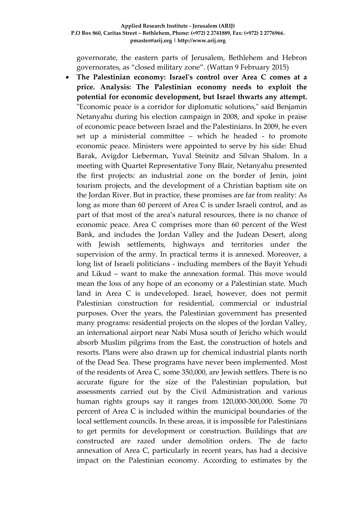governorate, the eastern parts of Jerusalem, Bethlehem and Hebron governorates, as "closed military zone". (Wattan 9 February 2015)

 **The Palestinian economy: Israel's control over Area C comes at a price. Analysis: The Palestinian economy needs to exploit the potential for economic development, but Israel thwarts any attempt.** "Economic peace is a corridor for diplomatic solutions," said Benjamin Netanyahu during his election campaign in 2008, and spoke in praise of economic peace between Israel and the Palestinians. In 2009, he even set up a ministerial committee – which he headed - to promote economic peace. Ministers were appointed to serve by his side: Ehud Barak, Avigdor Lieberman, Yuval Steinitz and Silvan Shalom. In a meeting with Quartet Representative Tony Blair, Netanyahu presented the first projects: an industrial zone on the border of Jenin, joint tourism projects, and the development of a Christian baptism site on the Jordan River. But in practice, these promises are far from reality: As long as more than 60 percent of Area C is under Israeli control, and as part of that most of the area's natural resources, there is no chance of economic peace. Area C comprises more than 60 percent of the West Bank, and includes the Jordan Valley and the Judean Desert, along with Jewish settlements, highways and territories under the supervision of the army. In practical terms it is annexed. Moreover, a long list of Israeli politicians - including members of the Bayit Yehudi and Likud – want to make the annexation formal. This move would mean the loss of any hope of an economy or a Palestinian state. Much land in Area C is undeveloped. Israel, however, does not permit Palestinian construction for residential, commercial or industrial purposes. Over the years, the Palestinian government has presented many programs: residential projects on the slopes of the Jordan Valley, an international airport near Nabi Musa south of Jericho which would absorb Muslim pilgrims from the East, the construction of hotels and resorts. Plans were also drawn up for chemical industrial plants north of the Dead Sea. These programs have never been implemented. Most of the residents of Area C, some 350,000, are Jewish settlers. There is no accurate figure for the size of the Palestinian population, but assessments carried out by the Civil Administration and various human rights groups say it ranges from 120,000-300,000. Some 70 percent of Area C is included within the municipal boundaries of the local settlement councils. In these areas, it is impossible for Palestinians to get permits for development or construction. Buildings that are constructed are razed under demolition orders. The de facto annexation of Area C, particularly in recent years, has had a decisive impact on the Palestinian economy. According to estimates by the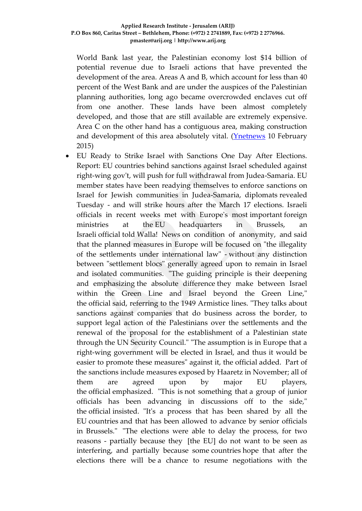World Bank last year, the Palestinian economy lost \$14 billion of potential revenue due to Israeli actions that have prevented the development of the area. Areas A and B, which account for less than 40 percent of the West Bank and are under the auspices of the Palestinian planning authorities, long ago became overcrowded enclaves cut off from one another. These lands have been almost completely developed, and those that are still available are extremely expensive. Area C on the other hand has a contiguous area, making construction and development of this area absolutely vital. [\(Ynetnews](http://www.ynetnews.com/articles/0,7340,L-4624580,00.html) 10 February 2015)

 EU Ready to Strike Israel with Sanctions One Day After Elections. Report: EU countries behind sanctions against Israel scheduled against right-wing gov't, will push for full withdrawal from Judea-Samaria. EU member states have been readying themselves to enforce sanctions on Israel for Jewish communities in Judea-Samaria, diplomats revealed Tuesday - and will strike hours after the March 17 elections. Israeli officials in recent weeks met with Europe's most important foreign ministries at the EU headquarters in Brussels, an Israeli official told Walla! News on condition of anonymity, and said that the planned measures in Europe will be focused on "the illegality of the settlements under international law" - without any distinction between "settlement blocs" generally agreed upon to remain in Israel and isolated communities. "The guiding principle is their deepening and emphasizing the absolute difference they make between Israel within the Green Line and Israel beyond the Green Line," the official said, referring to the 1949 Armistice lines. "They talks about sanctions against companies that do business across the border, to support legal action of the Palestinians over the settlements and the renewal of the proposal for the establishment of a Palestinian state through the UN Security Council." "The assumption is in Europe that a right-wing government will be elected in Israel, and thus it would be easier to promote these measures" against it, the official added. Part of the sanctions include measures exposed by Haaretz in November; all of them are agreed upon by major EU players, the official emphasized. "This is not something that a group of junior officials has been advancing in discussions off to the side," the official insisted. "It's a process that has been shared by all the EU countries and that has been allowed to advance by senior officials in Brussels." "The elections were able to delay the process, for two reasons - partially because they [the EU] do not want to be seen as interfering, and partially because some countries hope that after the elections there will be a chance to resume negotiations with the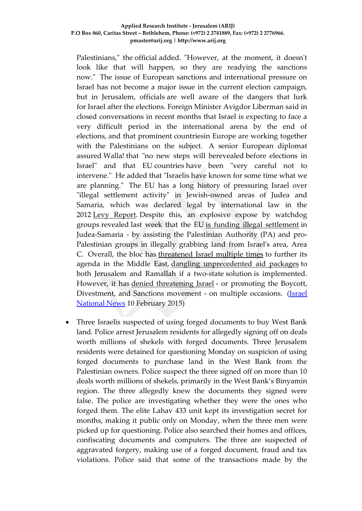Palestinians," the official added. "However, at the moment, it doesn't look like that will happen, so they are readying the sanctions now." The issue of European sanctions and international pressure on Israel has not become a major issue in the current election campaign, but in Jerusalem, officials are well aware of the dangers that lurk for Israel after the elections. Foreign Minister Avigdor Liberman said in closed conversations in recent months that Israel is expecting to face a very difficult period in the international arena by the end of elections, and that prominent countriesin Europe are working together with the Palestinians on the subject. A senior European diplomat assured Walla! that "no new steps will berevealed before elections in Israel" and that EU countries have been "very careful not to intervene." He added that "Israelis have known for some time what we are planning." The EU has a long history of pressuring Israel over "illegal settlement activity" in Jewish-owned areas of Judea and Samaria, which was declared legal by international law in the 2012 [Levy Report.](http://www.israelnationalnews.com/News/News.aspx/157709) Despite this, an explosive expose by watchdog groups revealed last week that the EU [is funding illegal settlement](http://www.israelnationalnews.com/News/News.aspx/191036) in Judea-Samaria - by assisting the Palestinian Authority (PA) and pro-Palestinian groups in illegally grabbing land from Israel's area, Area C. Overall, the bloc has [threatened Israel multiple times](http://www.israelnationalnews.com/News/News.aspx/177055) to further its agenda in the Middle East, [dangling unprecedented aid packages](http://www.israelnationalnews.com/News/News.aspx/175209) to both Jerusalem and Ramallah if a two-state solution is implemented. However, it has [denied threatening Israel](http://www.israelnationalnews.com/News/News.aspx/180893) - or promoting the Boycott, Divestment, and Sanctions movement - on multiple occasions. (*Israel* [National News](http://www.israelnationalnews.com/News/News.aspx/191160#.VNn8z_mUepc) 10 February 2015)

 Three Israelis suspected of using forged documents to buy West Bank land. Police arrest Jerusalem residents for allegedly signing off on deals worth millions of shekels with forged documents. Three Jerusalem residents were detained for questioning Monday on suspicion of using forged documents to purchase land in the West Bank from the Palestinian owners. Police suspect the three signed off on more than 10 deals worth millions of shekels, primarily in the West Bank's Binyamin region. The three allegedly knew the documents they signed were false. The police are investigating whether they were the ones who forged them. The elite Lahav 433 unit kept its investigation secret for months, making it public only on Monday, when the three men were picked up for questioning. Police also searched their homes and offices, confiscating documents and computers. The three are suspected of aggravated forgery, making use of a forged document, fraud and tax violations. Police said that some of the transactions made by the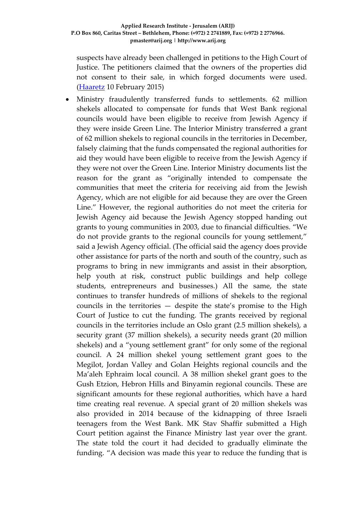suspects have already been challenged in petitions to the High Court of Justice. The petitioners claimed that the owners of the properties did not consent to their sale, in which forged documents were used. [\(Haaretz](http://www.haaretz.com/news/national/.premium-1.641712) 10 February 2015)

 Ministry fraudulently transferred funds to settlements. 62 million shekels allocated to compensate for funds that West Bank regional councils would have been eligible to receive from Jewish Agency if they were inside Green Line. The Interior Ministry transferred a grant of 62 million shekels to regional councils in the territories in December, falsely claiming that the funds compensated the regional authorities for aid they would have been eligible to receive from the Jewish Agency if they were not over the Green Line. Interior Ministry documents list the reason for the grant as "originally intended to compensate the communities that meet the criteria for receiving aid from the Jewish Agency, which are not eligible for aid because they are over the Green Line." However, the regional authorities do not meet the criteria for Jewish Agency aid because the Jewish Agency stopped handing out grants to young communities in 2003, due to financial difficulties. "We do not provide grants to the regional councils for young settlement," said a Jewish Agency official. (The official said the agency does provide other assistance for parts of the north and south of the country, such as programs to bring in new immigrants and assist in their absorption, help youth at risk, construct public buildings and help college students, entrepreneurs and businesses.) All the same, the state continues to transfer hundreds of millions of shekels to the regional councils in the territories — despite the state's promise to the High Court of Justice to cut the funding. The grants received by regional councils in the territories include an Oslo grant (2.5 million shekels), a security grant (37 million shekels), a security needs grant (20 million shekels) and a "young settlement grant" for only some of the regional council. A 24 million shekel young settlement grant goes to the Megilot, Jordan Valley and Golan Heights regional councils and the Ma'aleh Ephraim local council. A 38 million shekel grant goes to the Gush Etzion, Hebron Hills and Binyamin regional councils. These are significant amounts for these regional authorities, which have a hard time creating real revenue. A special grant of 20 million shekels was also provided in 2014 because of the kidnapping of three Israeli teenagers from the West Bank. MK Stav Shaffir submitted a High Court petition against the Finance Ministry last year over the grant. The state told the court it had decided to gradually eliminate the funding. "A decision was made this year to reduce the funding that is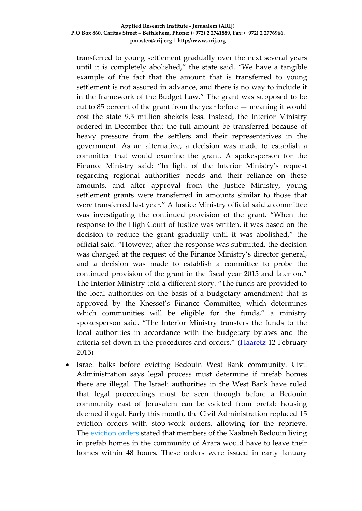transferred to young settlement gradually over the next several years until it is completely abolished," the state said. "We have a tangible example of the fact that the amount that is transferred to young settlement is not assured in advance, and there is no way to include it in the framework of the Budget Law." The grant was supposed to be cut to 85 percent of the grant from the year before — meaning it would cost the state 9.5 million shekels less. Instead, the Interior Ministry ordered in December that the full amount be transferred because of heavy pressure from the settlers and their representatives in the government. As an alternative, a decision was made to establish a committee that would examine the grant. A spokesperson for the Finance Ministry said: "In light of the Interior Ministry's request regarding regional authorities' needs and their reliance on these amounts, and after approval from the Justice Ministry, young settlement grants were transferred in amounts similar to those that were transferred last year." A Justice Ministry official said a committee was investigating the continued provision of the grant. "When the response to the High Court of Justice was written, it was based on the decision to reduce the grant gradually until it was abolished," the official said. "However, after the response was submitted, the decision was changed at the request of the Finance Ministry's director general, and a decision was made to establish a committee to probe the continued provision of the grant in the fiscal year 2015 and later on." The Interior Ministry told a different story. "The funds are provided to the local authorities on the basis of a budgetary amendment that is approved by the Knesset's Finance Committee, which determines which communities will be eligible for the funds," a ministry spokesperson said. "The Interior Ministry transfers the funds to the local authorities in accordance with the budgetary bylaws and the criteria set down in the procedures and orders." [\(Haaretz](http://www.haaretz.com/news/diplomacy-defense/.premium-1.642092) 12 February 2015)

 Israel balks before evicting Bedouin West Bank community. Civil Administration says legal process must determine if prefab homes there are illegal. The Israeli authorities in the West Bank have ruled that legal proceedings must be seen through before a Bedouin community east of Jerusalem can be evicted from prefab housing deemed illegal. Early this month, the Civil Administration replaced 15 eviction orders with stop-work orders, allowing for the reprieve. The [eviction orders](http://www.haaretz.com/news/national/.premium-1.637152) stated that members of the Kaabneh Bedouin living in prefab homes in the community of Arara would have to leave their homes within 48 hours. These orders were issued in early January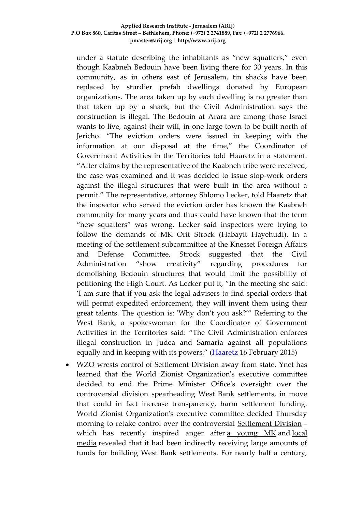under a statute describing the inhabitants as "new squatters," even though Kaabneh Bedouin have been living there for 30 years. In this community, as in others east of Jerusalem, tin shacks have been replaced by sturdier prefab dwellings donated by European organizations. The area taken up by each dwelling is no greater than that taken up by a shack, but the Civil Administration says the construction is illegal. The Bedouin at Arara are among those Israel wants to live, against their will, in one large town to be built north of Jericho. "The eviction orders were issued in keeping with the information at our disposal at the time," the Coordinator of Government Activities in the Territories told Haaretz in a statement. "After claims by the representative of the Kaabneh tribe were received, the case was examined and it was decided to issue stop-work orders against the illegal structures that were built in the area without a permit." The representative, attorney Shlomo Lecker, told Haaretz that the inspector who served the eviction order has known the Kaabneh community for many years and thus could have known that the term "new squatters" was wrong. Lecker said inspectors were trying to follow the demands of MK Orit Strock (Habayit Hayehudi). In a meeting of the settlement subcommittee at the Knesset Foreign Affairs and Defense Committee, Strock suggested that the Civil Administration "show creativity" regarding procedures for demolishing Bedouin structures that would limit the possibility of petitioning the High Court. As Lecker put it, "In the meeting she said: 'I am sure that if you ask the legal advisers to find special orders that will permit expedited enforcement, they will invent them using their great talents. The question is: 'Why don't you ask?'" Referring to the West Bank, a spokeswoman for the Coordinator of Government Activities in the Territories said: "The Civil Administration enforces illegal construction in Judea and Samaria against all populations equally and in keeping with its powers." [\(Haaretz](http://www.haaretz.com/news/national/.premium-1.642493) 16 February 2015)

 WZO wrests control of Settlement Division away from state. Ynet has learned that the World Zionist Organization's executive committee decided to end the Prime Minister Office's oversight over the controversial division spearheading West Bank settlements, in move that could in fact increase transparency, harm settlement funding. World Zionist Organization's executive committee decided Thursday morning to retake control over the controversial [Settlement Division](http://www.ynetnews.com/articles/0,7340,L-4610722,00.html) – which has recently inspired anger after [a young MK](http://www.ynetnews.com/articles/0,7340,L-4590292,00.html) and local [media](http://www.ynetnews.com/articles/0,7340,L-4610722,00.html) revealed that it had been indirectly receiving large amounts of funds for building West Bank settlements. For nearly half a century,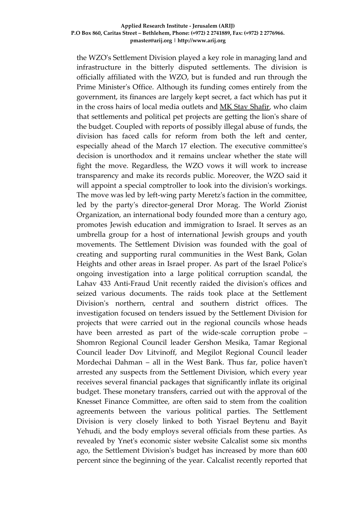the WZO's Settlement Division played a key role in managing land and infrastructure in the bitterly disputed settlements. The division is officially affiliated with the WZO, but is funded and run through the Prime Minister's Office. Although its funding comes entirely from the government, its finances are largely kept secret, a fact which has put it in the cross hairs of local media outlets and [MK Stav Shafir,](http://www.ynetnews.com/articles/0,7340,L-4590292,00.html) who claim that settlements and political pet projects are getting the lion's share of the budget. Coupled with reports of possibly illegal abuse of funds, the division has faced calls for reform from both the left and center, especially ahead of the March 17 election. The executive committee's decision is unorthodox and it remains unclear whether the state will fight the move. Regardless, the WZO vows it will work to increase transparency and make its records public. Moreover, the WZO said it will appoint a special comptroller to look into the division's workings. The move was led by left-wing party Meretz's faction in the committee, led by the party's director-general Dror Morag. The World Zionist Organization, an international body founded more than a century ago, promotes Jewish education and immigration to Israel. It serves as an umbrella group for a host of international Jewish groups and youth movements. The Settlement Division was founded with the goal of creating and supporting rural communities in the West Bank, Golan Heights and other areas in Israel proper. As part of the Israel Police's ongoing investigation into a large political corruption scandal, the Lahav 433 Anti-Fraud Unit recently raided the division's offices and seized various documents. The raids took place at the Settlement Division's northern, central and southern district offices. The investigation focused on tenders issued by the Settlement Division for projects that were carried out in the regional councils whose heads have been arrested as part of the wide-scale corruption probe – Shomron Regional Council leader Gershon Mesika, Tamar Regional Council leader Dov Litvinoff, and Megilot Regional Council leader Mordechai Dahman – all in the West Bank. Thus far, police haven't arrested any suspects from the Settlement Division, which every year receives several financial packages that significantly inflate its original budget. These monetary transfers, carried out with the approval of the Knesset Finance Committee, are often said to stem from the coalition agreements between the various political parties. The Settlement Division is very closely linked to both Yisrael Beytenu and Bayit Yehudi, and the body employs several officials from these parties. As revealed by Ynet's economic sister website Calcalist some six months ago, the Settlement Division's budget has increased by more than 600 percent since the beginning of the year. Calcalist recently reported that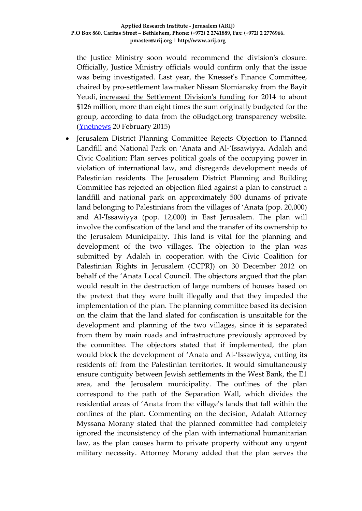the Justice Ministry soon would recommend the division's closure. Officially, Justice Ministry officials would confirm only that the issue was being investigated. Last year, the Knesset's Finance Committee, chaired by pro-settlement lawmaker Nissan Slomiansky from the Bayit Yeudi, [increased the Settlement Division's funding](http://www.ynetnews.com/articles/0,7340,L-4590292,00.html) for 2014 to about \$126 million, more than eight times the sum originally budgeted for the group, according to data from the oBudget.org transparency website. [\(Ynetnews](http://www.ynetnews.com/articles/0,7340,L-4628755,00.html) 20 February 2015)

 Jerusalem District Planning Committee Rejects Objection to Planned Landfill and National Park on 'Anata and Al-'Issawiyya. Adalah and Civic Coalition: Plan serves political goals of the occupying power in violation of international law, and disregards development needs of Palestinian residents. The Jerusalem District Planning and Building Committee has rejected an objection filed against a plan to construct a landfill and national park on approximately 500 dunams of private land belonging to Palestinians from the villages of 'Anata (pop. 20,000) and Al-'Issawiyya (pop. 12,000) in East Jerusalem. The plan will involve the confiscation of the land and the transfer of its ownership to the Jerusalem Municipality. This land is vital for the planning and development of the two villages. The objection to the plan was submitted by Adalah in cooperation with the Civic Coalition for Palestinian Rights in Jerusalem (CCPRJ) on 30 December 2012 on behalf of the 'Anata Local Council. The objectors argued that the plan would result in the destruction of large numbers of houses based on the pretext that they were built illegally and that they impeded the implementation of the plan. The planning committee based its decision on the claim that the land slated for confiscation is unsuitable for the development and planning of the two villages, since it is separated from them by main roads and infrastructure previously approved by the committee. The objectors stated that if implemented, the plan would block the development of 'Anata and Al-'Issawiyya, cutting its residents off from the Palestinian territories. It would simultaneously ensure contiguity between Jewish settlements in the West Bank, the E1 area, and the Jerusalem municipality. The outlines of the plan correspond to the path of the Separation Wall, which divides the residential areas of 'Anata from the village's lands that fall within the confines of the plan. Commenting on the decision, Adalah Attorney Myssana Morany stated that the planned committee had completely ignored the inconsistency of the plan with international humanitarian law, as the plan causes harm to private property without any urgent military necessity. Attorney Morany added that the plan serves the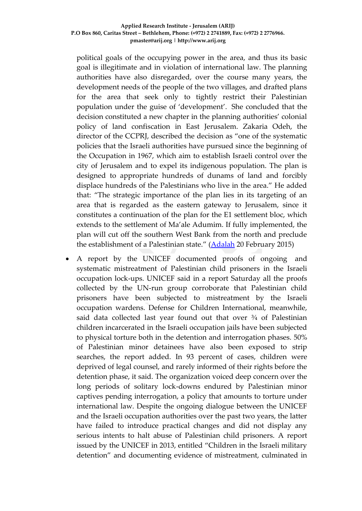political goals of the occupying power in the area, and thus its basic goal is illegitimate and in violation of international law. The planning authorities have also disregarded, over the course many years, the development needs of the people of the two villages, and drafted plans for the area that seek only to tightly restrict their Palestinian population under the guise of 'development'. She concluded that the decision constituted a new chapter in the planning authorities' colonial policy of land confiscation in East Jerusalem. Zakaria Odeh, the director of the CCPRJ, described the decision as "one of the systematic policies that the Israeli authorities have pursued since the beginning of the Occupation in 1967, which aim to establish Israeli control over the city of Jerusalem and to expel its indigenous population. The plan is designed to appropriate hundreds of dunams of land and forcibly displace hundreds of the Palestinians who live in the area." He added that: "The strategic importance of the plan lies in its targeting of an area that is regarded as the eastern gateway to Jerusalem, since it constitutes a continuation of the plan for the E1 settlement bloc, which extends to the settlement of Ma'ale Adumim. If fully implemented, the plan will cut off the southern West Bank from the north and preclude the establishment of a Palestinian state." [\(Adalah](http://www.adalah.org/en/content/view/8466) 20 February 2015)

 A report by the UNICEF documented proofs of ongoing and systematic mistreatment of Palestinian child prisoners in the Israeli occupation lock-ups. UNICEF said in a report Saturday all the proofs collected by the UN-run group corroborate that Palestinian child prisoners have been subjected to mistreatment by the Israeli occupation wardens. Defense for Children International, meanwhile, said data collected last year found out that over  $\frac{3}{4}$  of Palestinian children incarcerated in the Israeli occupation jails have been subjected to physical torture both in the detention and interrogation phases. 50% of Palestinian minor detainees have also been exposed to strip searches, the report added. In 93 percent of cases, children were deprived of legal counsel, and rarely informed of their rights before the detention phase, it said. The organization voiced deep concern over the long periods of solitary lock-downs endured by Palestinian minor captives pending interrogation, a policy that amounts to torture under international law. Despite the ongoing dialogue between the UNICEF and the Israeli occupation authorities over the past two years, the latter have failed to introduce practical changes and did not display any serious intents to halt abuse of Palestinian child prisoners. A report issued by the UNICEF in 2013, entitled "Children in the Israeli military detention" and documenting evidence of mistreatment, culminated in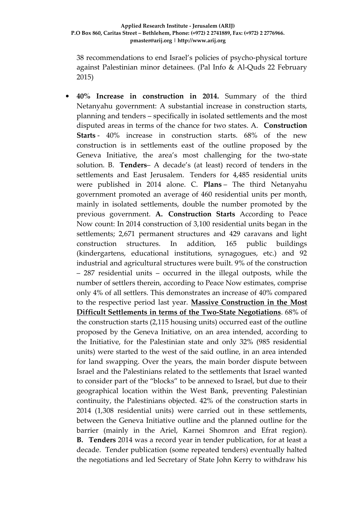38 recommendations to end Israel's policies of psycho-physical torture against Palestinian minor detainees. (Pal Info & Al-Quds 22 February 2015)

 **40% Increase in construction in 2014.** Summary of the third Netanyahu government: A substantial increase in construction starts, planning and tenders – specifically in isolated settlements and the most disputed areas in terms of the chance for two states. A. **Construction Starts** - 40% increase in construction starts. 68% of the new construction is in settlements east of the outline proposed by the Geneva Initiative, the area's most challenging for the two-state solution. B. **Tenders**– A decade's (at least) record of tenders in the settlements and East Jerusalem. Tenders for 4,485 residential units were published in 2014 alone. C. **Plans** – The third Netanyahu government promoted an average of 460 residential units per month, mainly in isolated settlements, double the number promoted by the previous government. **A. Construction Starts** According to Peace Now count: In 2014 construction of 3,100 residential units began in the settlements; 2,671 permanent structures and 429 caravans and light construction structures. In addition, 165 public buildings (kindergartens, educational institutions, synagogues, etc.) and 92 industrial and agricultural structures were built. 9% of the construction – 287 residential units – occurred in the illegal outposts, while the number of settlers therein, according to Peace Now estimates, comprise only 4% of all settlers. This demonstrates an increase of 40% compared to the respective period last year. **Massive Construction in the Most Difficult Settlements in terms of the Two-State Negotiations**. 68% of the construction starts (2,115 housing units) occurred east of the outline proposed by the Geneva Initiative, on an area intended, according to the Initiative, for the Palestinian state and only 32% (985 residential units) were started to the west of the said outline, in an area intended for land swapping. Over the years, the main border dispute between Israel and the Palestinians related to the settlements that Israel wanted to consider part of the "blocks" to be annexed to Israel, but due to their geographical location within the West Bank, preventing Palestinian continuity, the Palestinians objected. 42% of the construction starts in 2014 (1,308 residential units) were carried out in these settlements, between the Geneva Initiative outline and the planned outline for the barrier (mainly in the Ariel, Karnei Shomron and Efrat region). **B. Tenders** 2014 was a record year in tender publication, for at least a decade. Tender publication (some repeated tenders) eventually halted the negotiations and led Secretary of State John Kerry to withdraw his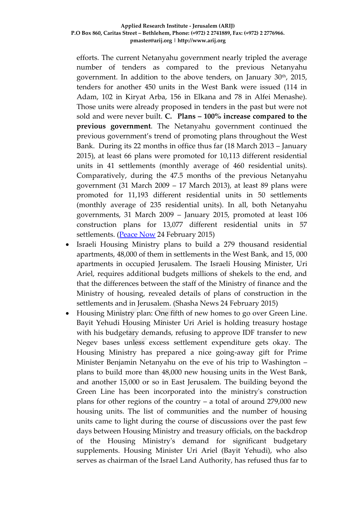efforts. The current Netanyahu government nearly tripled the average number of tenders as compared to the previous Netanyahu government. In addition to the above tenders, on January  $30<sup>th</sup>$ , 2015, tenders for another 450 units in the West Bank were issued (114 in Adam, 102 in Kiryat Arba, 156 in Elkana and 78 in Alfei Menashe). Those units were already proposed in tenders in the past but were not sold and were never built. **C. Plans – 100% increase compared to the previous government**. The Netanyahu government continued the previous government's trend of promoting plans throughout the West Bank. During its 22 months in office thus far (18 March 2013 – January 2015), at least 66 plans were promoted for 10,113 different residential units in 41 settlements (monthly average of 460 residential units). Comparatively, during the 47.5 months of the previous Netanyahu government (31 March 2009 – 17 March 2013), at least 89 plans were promoted for 11,193 different residential units in 50 settlements (monthly average of 235 residential units). In all, both Netanyahu governments, 31 March 2009 – January 2015, promoted at least 106 construction plans for 13,077 different residential units in 57 settlements. [\(Peace Now](http://peacenow.org.il/eng/Construction2014) 24 February 2015)

- Israeli Housing Ministry plans to build a 279 thousand residential apartments, 48,000 of them in settlements in the West Bank, and 15, 000 apartments in occupied Jerusalem. The Israeli Housing Minister, Uri Ariel, requires additional budgets millions of shekels to the end, and that the differences between the staff of the Ministry of finance and the Ministry of housing, revealed details of plans of construction in the settlements and in Jerusalem. (Shasha News 24 February 2015)
- Housing Ministry plan: One fifth of new homes to go over Green Line. Bayit Yehudi Housing Minister Uri Ariel is holding treasury hostage with his budgetary demands, refusing to approve IDF transfer to new Negev bases unless excess settlement expenditure gets okay. The Housing Ministry has prepared a nice going-away gift for Prime Minister Benjamin Netanyahu on the eve of his trip to Washington – plans to build more than 48,000 new housing units in the West Bank, and another 15,000 or so in East Jerusalem. The building beyond the Green Line has been incorporated into the ministry's construction plans for other regions of the country – a total of around 279,000 new housing units. The list of communities and the number of housing units came to light during the course of discussions over the past few days between Housing Ministry and treasury officials, on the backdrop of the Housing Ministry's demand for significant budgetary supplements. Housing Minister Uri Ariel (Bayit Yehudi), who also serves as chairman of the Israel Land Authority, has refused thus far to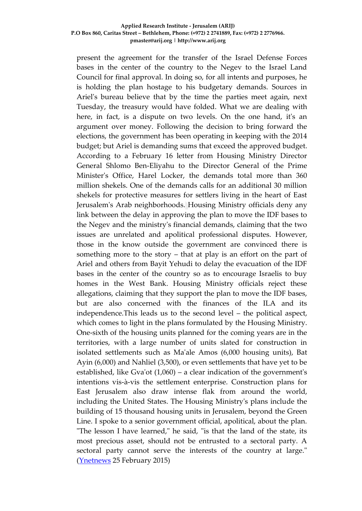present the agreement for the transfer of the Israel Defense Forces bases in the center of the country to the Negev to the Israel Land Council for final approval. In doing so, for all intents and purposes, he is holding the plan hostage to his budgetary demands. Sources in Ariel's bureau believe that by the time the parties meet again, next Tuesday, the treasury would have folded. What we are dealing with here, in fact, is a dispute on two levels. On the one hand, it's an argument over money. Following the decision to bring forward the elections, the government has been operating in keeping with the 2014 budget; but Ariel is demanding sums that exceed the approved budget. According to a February 16 letter from Housing Ministry Director General Shlomo Ben-Eliyahu to the Director General of the Prime Minister's Office, Harel Locker, the demands total more than 360 million shekels. One of the demands calls for an additional 30 million shekels for protective measures for settlers living in the heart of East Jerusalem's Arab neighborhoods. Housing Ministry officials deny any link between the delay in approving the plan to move the IDF bases to the Negev and the ministry's financial demands, claiming that the two issues are unrelated and apolitical professional disputes. However, those in the know outside the government are convinced there is something more to the story – that at play is an effort on the part of Ariel and others from Bayit Yehudi to delay the evacuation of the IDF bases in the center of the country so as to encourage Israelis to buy homes in the West Bank. Housing Ministry officials reject these allegations, claiming that they support the plan to move the IDF bases, but are also concerned with the finances of the ILA and its independence.This leads us to the second level – the political aspect, which comes to light in the plans formulated by the Housing Ministry. One-sixth of the housing units planned for the coming years are in the territories, with a large number of units slated for construction in isolated settlements such as Ma'ale Amos (6,000 housing units), Bat Ayin (6,000) and Nahliel (3,500), or even settlements that have yet to be established, like Gva'ot (1,060) – a clear indication of the government's intentions vis-à-vis the settlement enterprise. Construction plans for East Jerusalem also draw intense flak from around the world, including the United States. The Housing Ministry's plans include the building of 15 thousand housing units in Jerusalem, beyond the Green Line. I spoke to a senior government official, apolitical, about the plan. "The lesson I have learned," he said, "is that the land of the state, its most precious asset, should not be entrusted to a sectoral party. A sectoral party cannot serve the interests of the country at large." [\(Ynetnews](http://www.ynetnews.com/articles/0,7340,L-4630223,00.html) 25 February 2015)